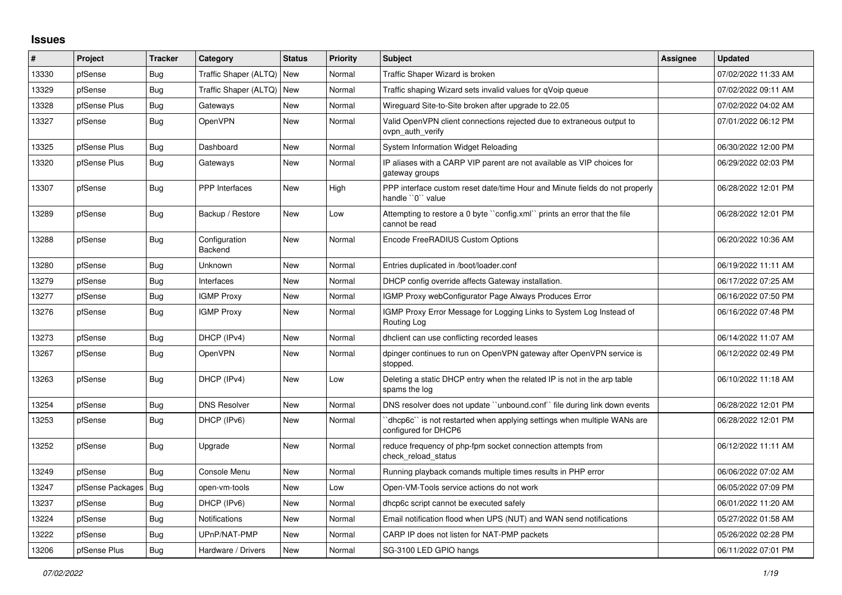## **Issues**

| #     | Project                | <b>Tracker</b> | Category                  | <b>Status</b> | <b>Priority</b> | <b>Subject</b>                                                                                  | Assignee | Updated             |
|-------|------------------------|----------------|---------------------------|---------------|-----------------|-------------------------------------------------------------------------------------------------|----------|---------------------|
| 13330 | pfSense                | Bug            | Traffic Shaper (ALTQ) New |               | Normal          | Traffic Shaper Wizard is broken                                                                 |          | 07/02/2022 11:33 AM |
| 13329 | pfSense                | Bug            | Traffic Shaper (ALTQ)     | New           | Normal          | Traffic shaping Wizard sets invalid values for qVoip queue                                      |          | 07/02/2022 09:11 AM |
| 13328 | pfSense Plus           | Bug            | Gateways                  | <b>New</b>    | Normal          | Wireguard Site-to-Site broken after upgrade to 22.05                                            |          | 07/02/2022 04:02 AM |
| 13327 | pfSense                | Bug            | <b>OpenVPN</b>            | New           | Normal          | Valid OpenVPN client connections rejected due to extraneous output to<br>ovpn_auth_verify       |          | 07/01/2022 06:12 PM |
| 13325 | pfSense Plus           | Bug            | Dashboard                 | New           | Normal          | System Information Widget Reloading                                                             |          | 06/30/2022 12:00 PM |
| 13320 | pfSense Plus           | Bug            | Gateways                  | New           | Normal          | IP aliases with a CARP VIP parent are not available as VIP choices for<br>gateway groups        |          | 06/29/2022 02:03 PM |
| 13307 | pfSense                | Bug            | PPP Interfaces            | New           | High            | PPP interface custom reset date/time Hour and Minute fields do not properly<br>handle "0" value |          | 06/28/2022 12:01 PM |
| 13289 | pfSense                | Bug            | Backup / Restore          | <b>New</b>    | Low             | Attempting to restore a 0 byte "config.xml" prints an error that the file<br>cannot be read     |          | 06/28/2022 12:01 PM |
| 13288 | pfSense                | Bug            | Configuration<br>Backend  | New           | Normal          | Encode FreeRADIUS Custom Options                                                                |          | 06/20/2022 10:36 AM |
| 13280 | pfSense                | Bug            | Unknown                   | <b>New</b>    | Normal          | Entries duplicated in /boot/loader.conf                                                         |          | 06/19/2022 11:11 AM |
| 13279 | pfSense                | Bug            | Interfaces                | New           | Normal          | DHCP config override affects Gateway installation.                                              |          | 06/17/2022 07:25 AM |
| 13277 | pfSense                | Bug            | <b>IGMP Proxy</b>         | New           | Normal          | IGMP Proxy webConfigurator Page Always Produces Error                                           |          | 06/16/2022 07:50 PM |
| 13276 | pfSense                | Bug            | <b>IGMP Proxy</b>         | New           | Normal          | IGMP Proxy Error Message for Logging Links to System Log Instead of<br>Routing Log              |          | 06/16/2022 07:48 PM |
| 13273 | pfSense                | Bug            | DHCP (IPv4)               | New           | Normal          | dhclient can use conflicting recorded leases                                                    |          | 06/14/2022 11:07 AM |
| 13267 | pfSense                | Bug            | <b>OpenVPN</b>            | New           | Normal          | dpinger continues to run on OpenVPN gateway after OpenVPN service is<br>stopped.                |          | 06/12/2022 02:49 PM |
| 13263 | pfSense                | Bug            | DHCP (IPv4)               | New           | Low             | Deleting a static DHCP entry when the related IP is not in the arp table<br>spams the log       |          | 06/10/2022 11:18 AM |
| 13254 | pfSense                | Bug            | <b>DNS Resolver</b>       | <b>New</b>    | Normal          | DNS resolver does not update "unbound.conf" file during link down events                        |          | 06/28/2022 12:01 PM |
| 13253 | pfSense                | Bug            | DHCP (IPv6)               | New           | Normal          | 'dhcp6c' is not restarted when applying settings when multiple WANs are<br>configured for DHCP6 |          | 06/28/2022 12:01 PM |
| 13252 | pfSense                | <b>Bug</b>     | Upgrade                   | New           | Normal          | reduce frequency of php-fpm socket connection attempts from<br>check reload status              |          | 06/12/2022 11:11 AM |
| 13249 | pfSense                | Bug            | Console Menu              | New           | Normal          | Running playback comands multiple times results in PHP error                                    |          | 06/06/2022 07:02 AM |
| 13247 | pfSense Packages   Bug |                | open-vm-tools             | <b>New</b>    | Low             | Open-VM-Tools service actions do not work                                                       |          | 06/05/2022 07:09 PM |
| 13237 | pfSense                | <b>Bug</b>     | DHCP (IPv6)               | New           | Normal          | dhcp6c script cannot be executed safely                                                         |          | 06/01/2022 11:20 AM |
| 13224 | pfSense                | Bug            | <b>Notifications</b>      | New           | Normal          | Email notification flood when UPS (NUT) and WAN send notifications                              |          | 05/27/2022 01:58 AM |
| 13222 | pfSense                | Bug            | UPnP/NAT-PMP              | New           | Normal          | CARP IP does not listen for NAT-PMP packets                                                     |          | 05/26/2022 02:28 PM |
| 13206 | pfSense Plus           | Bug            | Hardware / Drivers        | <b>New</b>    | Normal          | SG-3100 LED GPIO hangs                                                                          |          | 06/11/2022 07:01 PM |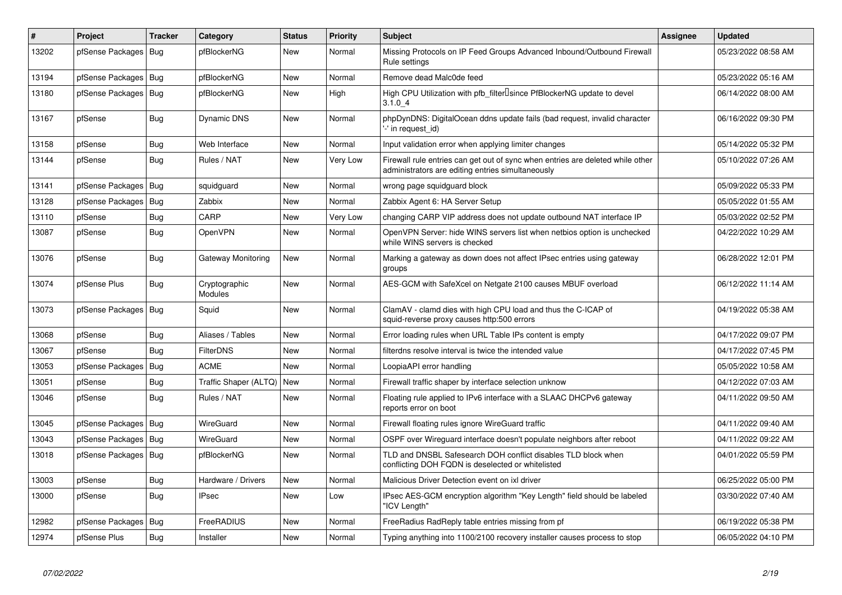| #     | <b>Project</b>   | <b>Tracker</b> | Category                 | <b>Status</b> | <b>Priority</b> | <b>Subject</b>                                                                                                                      | <b>Assignee</b> | <b>Updated</b>      |
|-------|------------------|----------------|--------------------------|---------------|-----------------|-------------------------------------------------------------------------------------------------------------------------------------|-----------------|---------------------|
| 13202 | pfSense Packages | Bug            | pfBlockerNG              | New           | Normal          | Missing Protocols on IP Feed Groups Advanced Inbound/Outbound Firewall<br>Rule settings                                             |                 | 05/23/2022 08:58 AM |
| 13194 | pfSense Packages | Bug            | pfBlockerNG              | New           | Normal          | Remove dead Malc0de feed                                                                                                            |                 | 05/23/2022 05:16 AM |
| 13180 | pfSense Packages | Bug            | pfBlockerNG              | New           | High            | High CPU Utilization with pfb filter Isince PfBlockerNG update to devel<br>3.1.04                                                   |                 | 06/14/2022 08:00 AM |
| 13167 | pfSense          | <b>Bug</b>     | Dynamic DNS              | New           | Normal          | phpDynDNS: DigitalOcean ddns update fails (bad request, invalid character<br>'-' in request id)                                     |                 | 06/16/2022 09:30 PM |
| 13158 | pfSense          | Bug            | Web Interface            | <b>New</b>    | Normal          | Input validation error when applying limiter changes                                                                                |                 | 05/14/2022 05:32 PM |
| 13144 | pfSense          | Bug            | Rules / NAT              | New           | Very Low        | Firewall rule entries can get out of sync when entries are deleted while other<br>administrators are editing entries simultaneously |                 | 05/10/2022 07:26 AM |
| 13141 | pfSense Packages | Bug            | squidguard               | <b>New</b>    | Normal          | wrong page squidguard block                                                                                                         |                 | 05/09/2022 05:33 PM |
| 13128 | pfSense Packages | Bug            | Zabbix                   | New           | Normal          | Zabbix Agent 6: HA Server Setup                                                                                                     |                 | 05/05/2022 01:55 AM |
| 13110 | pfSense          | <b>Bug</b>     | CARP                     | New           | Very Low        | changing CARP VIP address does not update outbound NAT interface IP                                                                 |                 | 05/03/2022 02:52 PM |
| 13087 | pfSense          | <b>Bug</b>     | OpenVPN                  | New           | Normal          | OpenVPN Server: hide WINS servers list when netbios option is unchecked<br>while WINS servers is checked                            |                 | 04/22/2022 10:29 AM |
| 13076 | pfSense          | <b>Bug</b>     | Gateway Monitoring       | New           | Normal          | Marking a gateway as down does not affect IPsec entries using gateway<br>groups                                                     |                 | 06/28/2022 12:01 PM |
| 13074 | pfSense Plus     | Bug            | Cryptographic<br>Modules | <b>New</b>    | Normal          | AES-GCM with SafeXcel on Netgate 2100 causes MBUF overload                                                                          |                 | 06/12/2022 11:14 AM |
| 13073 | pfSense Packages | Bug            | Squid                    | <b>New</b>    | Normal          | ClamAV - clamd dies with high CPU load and thus the C-ICAP of<br>squid-reverse proxy causes http:500 errors                         |                 | 04/19/2022 05:38 AM |
| 13068 | pfSense          | <b>Bug</b>     | Aliases / Tables         | <b>New</b>    | Normal          | Error loading rules when URL Table IPs content is empty                                                                             |                 | 04/17/2022 09:07 PM |
| 13067 | pfSense          | Bug            | <b>FilterDNS</b>         | New           | Normal          | filterdns resolve interval is twice the intended value                                                                              |                 | 04/17/2022 07:45 PM |
| 13053 | pfSense Packages | Bug            | <b>ACME</b>              | <b>New</b>    | Normal          | LoopiaAPI error handling                                                                                                            |                 | 05/05/2022 10:58 AM |
| 13051 | pfSense          | Bug            | Traffic Shaper (ALTQ)    | New           | Normal          | Firewall traffic shaper by interface selection unknow                                                                               |                 | 04/12/2022 07:03 AM |
| 13046 | pfSense          | Bug            | Rules / NAT              | <b>New</b>    | Normal          | Floating rule applied to IPv6 interface with a SLAAC DHCPv6 gateway<br>reports error on boot                                        |                 | 04/11/2022 09:50 AM |
| 13045 | pfSense Packages | Bug            | WireGuard                | <b>New</b>    | Normal          | Firewall floating rules ignore WireGuard traffic                                                                                    |                 | 04/11/2022 09:40 AM |
| 13043 | pfSense Packages | Bug            | WireGuard                | <b>New</b>    | Normal          | OSPF over Wireguard interface doesn't populate neighbors after reboot                                                               |                 | 04/11/2022 09:22 AM |
| 13018 | pfSense Packages | Bug            | pfBlockerNG              | <b>New</b>    | Normal          | TLD and DNSBL Safesearch DOH conflict disables TLD block when<br>conflicting DOH FQDN is deselected or whitelisted                  |                 | 04/01/2022 05:59 PM |
| 13003 | pfSense          | <b>Bug</b>     | Hardware / Drivers       | New           | Normal          | Malicious Driver Detection event on ixl driver                                                                                      |                 | 06/25/2022 05:00 PM |
| 13000 | pfSense          | Bug            | <b>IPsec</b>             | New           | Low             | IPsec AES-GCM encryption algorithm "Key Length" field should be labeled<br>"ICV Length"                                             |                 | 03/30/2022 07:40 AM |
| 12982 | pfSense Packages | <b>Bug</b>     | FreeRADIUS               | <b>New</b>    | Normal          | FreeRadius RadReply table entries missing from pf                                                                                   |                 | 06/19/2022 05:38 PM |
| 12974 | pfSense Plus     | Bug            | Installer                | New           | Normal          | Typing anything into 1100/2100 recovery installer causes process to stop                                                            |                 | 06/05/2022 04:10 PM |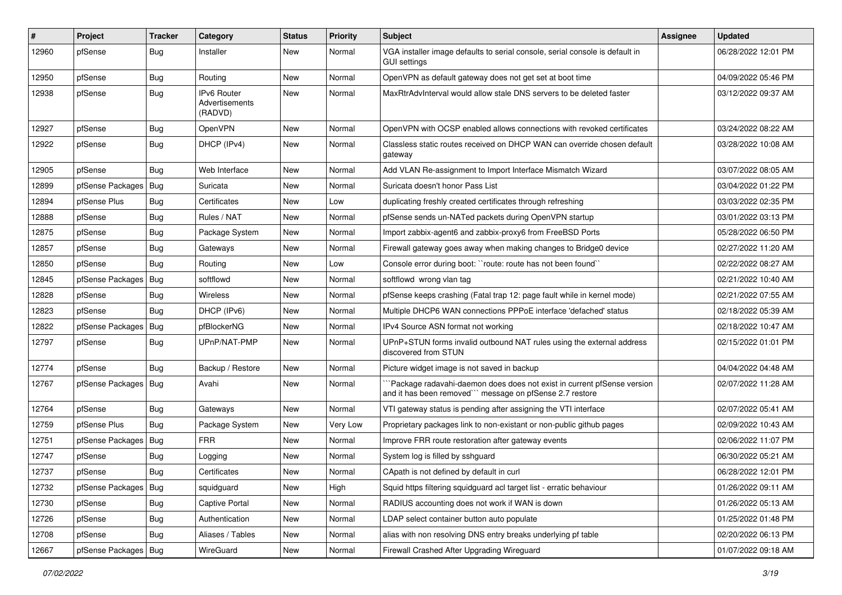| $\#$  | Project                | <b>Tracker</b> | Category                                 | <b>Status</b> | <b>Priority</b> | <b>Subject</b>                                                                                                                      | Assignee | <b>Updated</b>      |
|-------|------------------------|----------------|------------------------------------------|---------------|-----------------|-------------------------------------------------------------------------------------------------------------------------------------|----------|---------------------|
| 12960 | pfSense                | <b>Bug</b>     | Installer                                | New           | Normal          | VGA installer image defaults to serial console, serial console is default in<br>GUI settings                                        |          | 06/28/2022 12:01 PM |
| 12950 | pfSense                | <b>Bug</b>     | Routing                                  | New           | Normal          | OpenVPN as default gateway does not get set at boot time                                                                            |          | 04/09/2022 05:46 PM |
| 12938 | pfSense                | <b>Bug</b>     | IPv6 Router<br>Advertisements<br>(RADVD) | <b>New</b>    | Normal          | MaxRtrAdvInterval would allow stale DNS servers to be deleted faster                                                                |          | 03/12/2022 09:37 AM |
| 12927 | pfSense                | Bug            | <b>OpenVPN</b>                           | New           | Normal          | OpenVPN with OCSP enabled allows connections with revoked certificates                                                              |          | 03/24/2022 08:22 AM |
| 12922 | pfSense                | Bug            | DHCP (IPv4)                              | New           | Normal          | Classless static routes received on DHCP WAN can override chosen default<br>gateway                                                 |          | 03/28/2022 10:08 AM |
| 12905 | pfSense                | Bug            | Web Interface                            | New           | Normal          | Add VLAN Re-assignment to Import Interface Mismatch Wizard                                                                          |          | 03/07/2022 08:05 AM |
| 12899 | pfSense Packages       | Bug            | Suricata                                 | New           | Normal          | Suricata doesn't honor Pass List                                                                                                    |          | 03/04/2022 01:22 PM |
| 12894 | pfSense Plus           | <b>Bug</b>     | Certificates                             | New           | Low             | duplicating freshly created certificates through refreshing                                                                         |          | 03/03/2022 02:35 PM |
| 12888 | pfSense                | <b>Bug</b>     | Rules / NAT                              | New           | Normal          | pfSense sends un-NATed packets during OpenVPN startup                                                                               |          | 03/01/2022 03:13 PM |
| 12875 | pfSense                | <b>Bug</b>     | Package System                           | New           | Normal          | Import zabbix-agent6 and zabbix-proxy6 from FreeBSD Ports                                                                           |          | 05/28/2022 06:50 PM |
| 12857 | pfSense                | Bug            | Gateways                                 | New           | Normal          | Firewall gateway goes away when making changes to Bridge0 device                                                                    |          | 02/27/2022 11:20 AM |
| 12850 | pfSense                | Bug            | Routing                                  | New           | Low             | Console error during boot: "route: route has not been found"                                                                        |          | 02/22/2022 08:27 AM |
| 12845 | pfSense Packages   Bug |                | softflowd                                | New           | Normal          | softflowd wrong vlan tag                                                                                                            |          | 02/21/2022 10:40 AM |
| 12828 | pfSense                | Bug            | <b>Wireless</b>                          | New           | Normal          | pfSense keeps crashing (Fatal trap 12: page fault while in kernel mode)                                                             |          | 02/21/2022 07:55 AM |
| 12823 | pfSense                | Bug            | DHCP (IPv6)                              | New           | Normal          | Multiple DHCP6 WAN connections PPPoE interface 'defached' status                                                                    |          | 02/18/2022 05:39 AM |
| 12822 | pfSense Packages   Bug |                | pfBlockerNG                              | New           | Normal          | IPv4 Source ASN format not working                                                                                                  |          | 02/18/2022 10:47 AM |
| 12797 | pfSense                | Bug            | UPnP/NAT-PMP                             | New           | Normal          | UPnP+STUN forms invalid outbound NAT rules using the external address<br>discovered from STUN                                       |          | 02/15/2022 01:01 PM |
| 12774 | pfSense                | Bug            | Backup / Restore                         | New           | Normal          | Picture widget image is not saved in backup                                                                                         |          | 04/04/2022 04:48 AM |
| 12767 | pfSense Packages   Bug |                | Avahi                                    | New           | Normal          | `Package radavahi-daemon does does not exist in current pfSense version<br>and it has been removed"" message on pfSense 2.7 restore |          | 02/07/2022 11:28 AM |
| 12764 | pfSense                | Bug            | Gateways                                 | <b>New</b>    | Normal          | VTI gateway status is pending after assigning the VTI interface                                                                     |          | 02/07/2022 05:41 AM |
| 12759 | pfSense Plus           | Bug            | Package System                           | New           | Very Low        | Proprietary packages link to non-existant or non-public github pages                                                                |          | 02/09/2022 10:43 AM |
| 12751 | pfSense Packages   Bug |                | <b>FRR</b>                               | New           | Normal          | Improve FRR route restoration after gateway events                                                                                  |          | 02/06/2022 11:07 PM |
| 12747 | pfSense                | <b>Bug</b>     | Logging                                  | New           | Normal          | System log is filled by sshguard                                                                                                    |          | 06/30/2022 05:21 AM |
| 12737 | pfSense                | Bug            | Certificates                             | New           | Normal          | CApath is not defined by default in curl                                                                                            |          | 06/28/2022 12:01 PM |
| 12732 | pfSense Packages   Bug |                | squidguard                               | New           | High            | Squid https filtering squidguard acl target list - erratic behaviour                                                                |          | 01/26/2022 09:11 AM |
| 12730 | pfSense                | <b>Bug</b>     | Captive Portal                           | New           | Normal          | RADIUS accounting does not work if WAN is down                                                                                      |          | 01/26/2022 05:13 AM |
| 12726 | pfSense                | <b>Bug</b>     | Authentication                           | New           | Normal          | LDAP select container button auto populate                                                                                          |          | 01/25/2022 01:48 PM |
| 12708 | pfSense                | Bug            | Aliases / Tables                         | New           | Normal          | alias with non resolving DNS entry breaks underlying pf table                                                                       |          | 02/20/2022 06:13 PM |
| 12667 | pfSense Packages   Bug |                | WireGuard                                | New           | Normal          | Firewall Crashed After Upgrading Wireguard                                                                                          |          | 01/07/2022 09:18 AM |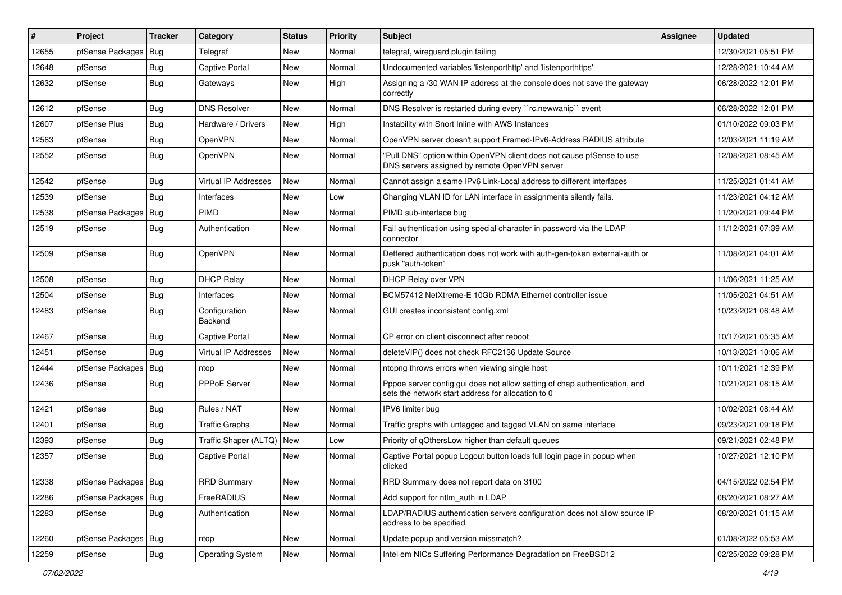| #     | Project                | <b>Tracker</b> | Category                    | <b>Status</b> | Priority | <b>Subject</b>                                                                                                                   | Assignee | <b>Updated</b>      |
|-------|------------------------|----------------|-----------------------------|---------------|----------|----------------------------------------------------------------------------------------------------------------------------------|----------|---------------------|
| 12655 | pfSense Packages   Bug |                | Telegraf                    | New           | Normal   | telegraf, wireguard plugin failing                                                                                               |          | 12/30/2021 05:51 PM |
| 12648 | pfSense                | <b>Bug</b>     | <b>Captive Portal</b>       | <b>New</b>    | Normal   | Undocumented variables 'listenporthttp' and 'listenporthttps'                                                                    |          | 12/28/2021 10:44 AM |
| 12632 | pfSense                | Bug            | Gateways                    | New           | High     | Assigning a /30 WAN IP address at the console does not save the gateway<br>correctly                                             |          | 06/28/2022 12:01 PM |
| 12612 | pfSense                | Bug            | <b>DNS Resolver</b>         | New           | Normal   | DNS Resolver is restarted during every "rc.newwanip" event                                                                       |          | 06/28/2022 12:01 PM |
| 12607 | pfSense Plus           | <b>Bug</b>     | Hardware / Drivers          | New           | High     | Instability with Snort Inline with AWS Instances                                                                                 |          | 01/10/2022 09:03 PM |
| 12563 | pfSense                | Bug            | <b>OpenVPN</b>              | New           | Normal   | OpenVPN server doesn't support Framed-IPv6-Address RADIUS attribute                                                              |          | 12/03/2021 11:19 AM |
| 12552 | pfSense                | Bug            | OpenVPN                     | New           | Normal   | "Pull DNS" option within OpenVPN client does not cause pfSense to use<br>DNS servers assigned by remote OpenVPN server           |          | 12/08/2021 08:45 AM |
| 12542 | pfSense                | Bug            | <b>Virtual IP Addresses</b> | <b>New</b>    | Normal   | Cannot assign a same IPv6 Link-Local address to different interfaces                                                             |          | 11/25/2021 01:41 AM |
| 12539 | pfSense                | Bug            | Interfaces                  | New           | Low      | Changing VLAN ID for LAN interface in assignments silently fails.                                                                |          | 11/23/2021 04:12 AM |
| 12538 | pfSense Packages   Bug |                | PIMD                        | New           | Normal   | PIMD sub-interface bug                                                                                                           |          | 11/20/2021 09:44 PM |
| 12519 | pfSense                | Bug            | Authentication              | New           | Normal   | Fail authentication using special character in password via the LDAP<br>connector                                                |          | 11/12/2021 07:39 AM |
| 12509 | pfSense                | Bug            | <b>OpenVPN</b>              | New           | Normal   | Deffered authentication does not work with auth-gen-token external-auth or<br>pusk "auth-token"                                  |          | 11/08/2021 04:01 AM |
| 12508 | pfSense                | Bug            | <b>DHCP Relay</b>           | New           | Normal   | DHCP Relay over VPN                                                                                                              |          | 11/06/2021 11:25 AM |
| 12504 | pfSense                | <b>Bug</b>     | Interfaces                  | <b>New</b>    | Normal   | BCM57412 NetXtreme-E 10Gb RDMA Ethernet controller issue                                                                         |          | 11/05/2021 04:51 AM |
| 12483 | pfSense                | Bug            | Configuration<br>Backend    | New           | Normal   | GUI creates inconsistent config.xml                                                                                              |          | 10/23/2021 06:48 AM |
| 12467 | pfSense                | Bug            | <b>Captive Portal</b>       | New           | Normal   | CP error on client disconnect after reboot                                                                                       |          | 10/17/2021 05:35 AM |
| 12451 | pfSense                | <b>Bug</b>     | <b>Virtual IP Addresses</b> | New           | Normal   | deleteVIP() does not check RFC2136 Update Source                                                                                 |          | 10/13/2021 10:06 AM |
| 12444 | pfSense Packages   Bug |                | ntop                        | New           | Normal   | ntopng throws errors when viewing single host                                                                                    |          | 10/11/2021 12:39 PM |
| 12436 | pfSense                | Bug            | <b>PPPoE Server</b>         | New           | Normal   | Pppoe server config gui does not allow setting of chap authentication, and<br>sets the network start address for allocation to 0 |          | 10/21/2021 08:15 AM |
| 12421 | pfSense                | Bug            | Rules / NAT                 | <b>New</b>    | Normal   | IPV6 limiter bug                                                                                                                 |          | 10/02/2021 08:44 AM |
| 12401 | pfSense                | Bug            | <b>Traffic Graphs</b>       | New           | Normal   | Traffic graphs with untagged and tagged VLAN on same interface                                                                   |          | 09/23/2021 09:18 PM |
| 12393 | pfSense                | <b>Bug</b>     | Traffic Shaper (ALTQ)       | New           | Low      | Priority of qOthersLow higher than default queues                                                                                |          | 09/21/2021 02:48 PM |
| 12357 | pfSense                | Bug            | Captive Portal              | New           | Normal   | Captive Portal popup Logout button loads full login page in popup when<br>clicked                                                |          | 10/27/2021 12:10 PM |
| 12338 | pfSense Packages   Bug |                | <b>RRD Summary</b>          | <b>New</b>    | Normal   | RRD Summary does not report data on 3100                                                                                         |          | 04/15/2022 02:54 PM |
| 12286 | pfSense Packages       | <b>Bug</b>     | FreeRADIUS                  | New           | Normal   | Add support for ntlm_auth in LDAP                                                                                                |          | 08/20/2021 08:27 AM |
| 12283 | pfSense                | <b>Bug</b>     | Authentication              | New           | Normal   | LDAP/RADIUS authentication servers configuration does not allow source IP<br>address to be specified                             |          | 08/20/2021 01:15 AM |
| 12260 | pfSense Packages   Bug |                | ntop                        | New           | Normal   | Update popup and version missmatch?                                                                                              |          | 01/08/2022 05:53 AM |
| 12259 | pfSense                | Bug            | Operating System            | New           | Normal   | Intel em NICs Suffering Performance Degradation on FreeBSD12                                                                     |          | 02/25/2022 09:28 PM |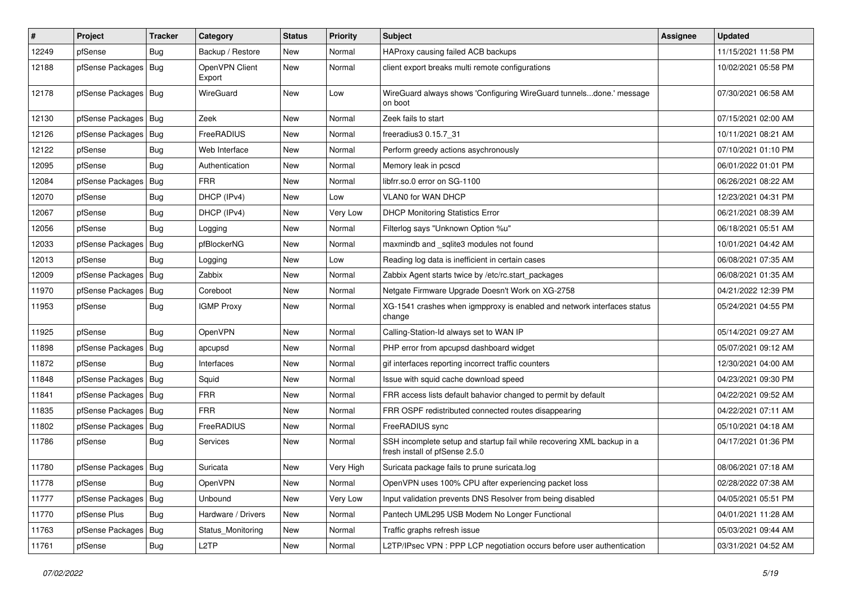| #     | Project                | <b>Tracker</b> | Category                 | <b>Status</b> | <b>Priority</b> | <b>Subject</b>                                                                                           | <b>Assignee</b> | <b>Updated</b>      |
|-------|------------------------|----------------|--------------------------|---------------|-----------------|----------------------------------------------------------------------------------------------------------|-----------------|---------------------|
| 12249 | pfSense                | Bug            | Backup / Restore         | New           | Normal          | HAProxy causing failed ACB backups                                                                       |                 | 11/15/2021 11:58 PM |
| 12188 | pfSense Packages       | Bug            | OpenVPN Client<br>Export | New           | Normal          | client export breaks multi remote configurations                                                         |                 | 10/02/2021 05:58 PM |
| 12178 | pfSense Packages   Bug |                | WireGuard                | New           | Low             | WireGuard always shows 'Configuring WireGuard tunnelsdone.' message<br>on boot                           |                 | 07/30/2021 06:58 AM |
| 12130 | pfSense Packages       | Bug            | Zeek                     | <b>New</b>    | Normal          | Zeek fails to start                                                                                      |                 | 07/15/2021 02:00 AM |
| 12126 | pfSense Packages       | Bug            | FreeRADIUS               | New           | Normal          | freeradius3 0.15.7 31                                                                                    |                 | 10/11/2021 08:21 AM |
| 12122 | pfSense                | Bug            | Web Interface            | New           | Normal          | Perform greedy actions asychronously                                                                     |                 | 07/10/2021 01:10 PM |
| 12095 | pfSense                | Bug            | Authentication           | New           | Normal          | Memory leak in pcscd                                                                                     |                 | 06/01/2022 01:01 PM |
| 12084 | pfSense Packages       | <b>Bug</b>     | <b>FRR</b>               | New           | Normal          | libfrr.so.0 error on SG-1100                                                                             |                 | 06/26/2021 08:22 AM |
| 12070 | pfSense                | <b>Bug</b>     | DHCP (IPv4)              | New           | Low             | VLAN0 for WAN DHCP                                                                                       |                 | 12/23/2021 04:31 PM |
| 12067 | pfSense                | Bug            | DHCP (IPv4)              | New           | Very Low        | <b>DHCP Monitoring Statistics Error</b>                                                                  |                 | 06/21/2021 08:39 AM |
| 12056 | pfSense                | Bug            | Logging                  | <b>New</b>    | Normal          | Filterlog says "Unknown Option %u"                                                                       |                 | 06/18/2021 05:51 AM |
| 12033 | pfSense Packages       | <b>Bug</b>     | pfBlockerNG              | New           | Normal          | maxmindb and sqlite3 modules not found                                                                   |                 | 10/01/2021 04:42 AM |
| 12013 | pfSense                | <b>Bug</b>     | Logging                  | New           | Low             | Reading log data is inefficient in certain cases                                                         |                 | 06/08/2021 07:35 AM |
| 12009 | pfSense Packages       | <b>Bug</b>     | Zabbix                   | New           | Normal          | Zabbix Agent starts twice by /etc/rc.start packages                                                      |                 | 06/08/2021 01:35 AM |
| 11970 | pfSense Packages       | Bug            | Coreboot                 | New           | Normal          | Netgate Firmware Upgrade Doesn't Work on XG-2758                                                         |                 | 04/21/2022 12:39 PM |
| 11953 | pfSense                | Bug            | <b>IGMP Proxy</b>        | <b>New</b>    | Normal          | XG-1541 crashes when igmpproxy is enabled and network interfaces status<br>change                        |                 | 05/24/2021 04:55 PM |
| 11925 | pfSense                | <b>Bug</b>     | OpenVPN                  | New           | Normal          | Calling-Station-Id always set to WAN IP                                                                  |                 | 05/14/2021 09:27 AM |
| 11898 | pfSense Packages       | <b>Bug</b>     | apcupsd                  | New           | Normal          | PHP error from apcupsd dashboard widget                                                                  |                 | 05/07/2021 09:12 AM |
| 11872 | pfSense                | <b>Bug</b>     | Interfaces               | New           | Normal          | gif interfaces reporting incorrect traffic counters                                                      |                 | 12/30/2021 04:00 AM |
| 11848 | pfSense Packages       | Bug            | Squid                    | New           | Normal          | Issue with squid cache download speed                                                                    |                 | 04/23/2021 09:30 PM |
| 11841 | pfSense Packages       | Bug            | <b>FRR</b>               | New           | Normal          | FRR access lists default bahavior changed to permit by default                                           |                 | 04/22/2021 09:52 AM |
| 11835 | pfSense Packages       | Bug            | <b>FRR</b>               | New           | Normal          | FRR OSPF redistributed connected routes disappearing                                                     |                 | 04/22/2021 07:11 AM |
| 11802 | pfSense Packages       | Bug            | FreeRADIUS               | New           | Normal          | FreeRADIUS sync                                                                                          |                 | 05/10/2021 04:18 AM |
| 11786 | pfSense                | <b>Bug</b>     | Services                 | New           | Normal          | SSH incomplete setup and startup fail while recovering XML backup in a<br>fresh install of pfSense 2.5.0 |                 | 04/17/2021 01:36 PM |
| 11780 | pfSense Packages   Bug |                | Suricata                 | New           | Very High       | Suricata package fails to prune suricata.log                                                             |                 | 08/06/2021 07:18 AM |
| 11778 | pfSense                | <b>Bug</b>     | OpenVPN                  | New           | Normal          | OpenVPN uses 100% CPU after experiencing packet loss                                                     |                 | 02/28/2022 07:38 AM |
| 11777 | pfSense Packages       | <b>Bug</b>     | Unbound                  | New           | Very Low        | Input validation prevents DNS Resolver from being disabled                                               |                 | 04/05/2021 05:51 PM |
| 11770 | pfSense Plus           | <b>Bug</b>     | Hardware / Drivers       | New           | Normal          | Pantech UML295 USB Modem No Longer Functional                                                            |                 | 04/01/2021 11:28 AM |
| 11763 | pfSense Packages       | Bug            | Status_Monitoring        | New           | Normal          | Traffic graphs refresh issue                                                                             |                 | 05/03/2021 09:44 AM |
| 11761 | pfSense                | <b>Bug</b>     | L <sub>2</sub> TP        | New           | Normal          | L2TP/IPsec VPN : PPP LCP negotiation occurs before user authentication                                   |                 | 03/31/2021 04:52 AM |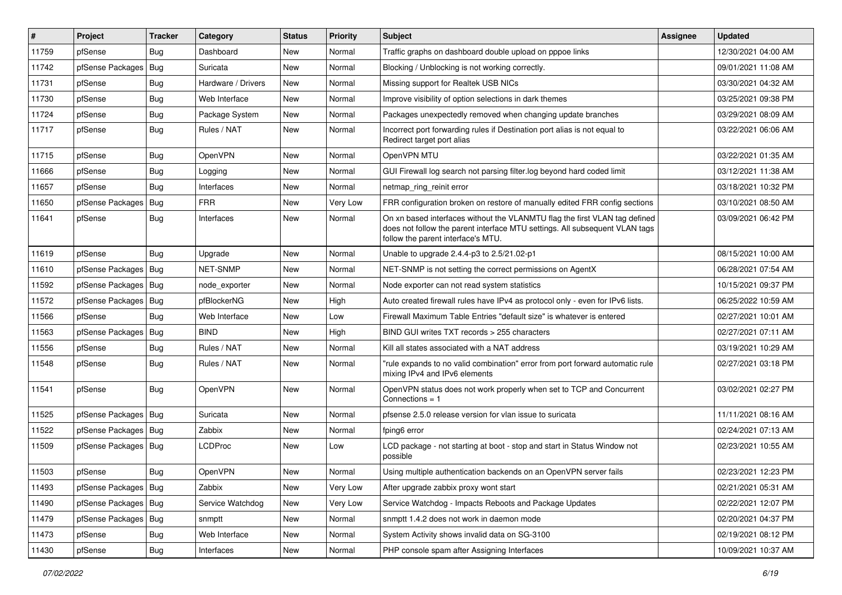| #     | Project                | <b>Tracker</b> | Category           | <b>Status</b> | <b>Priority</b> | <b>Subject</b>                                                                                                                                                                                  | Assignee | <b>Updated</b>      |
|-------|------------------------|----------------|--------------------|---------------|-----------------|-------------------------------------------------------------------------------------------------------------------------------------------------------------------------------------------------|----------|---------------------|
| 11759 | pfSense                | Bug            | Dashboard          | New           | Normal          | Traffic graphs on dashboard double upload on pppoe links                                                                                                                                        |          | 12/30/2021 04:00 AM |
| 11742 | pfSense Packages   Bug |                | Suricata           | New           | Normal          | Blocking / Unblocking is not working correctly.                                                                                                                                                 |          | 09/01/2021 11:08 AM |
| 11731 | pfSense                | Bug            | Hardware / Drivers | New           | Normal          | Missing support for Realtek USB NICs                                                                                                                                                            |          | 03/30/2021 04:32 AM |
| 11730 | pfSense                | <b>Bug</b>     | Web Interface      | <b>New</b>    | Normal          | Improve visibility of option selections in dark themes                                                                                                                                          |          | 03/25/2021 09:38 PM |
| 11724 | pfSense                | <b>Bug</b>     | Package System     | New           | Normal          | Packages unexpectedly removed when changing update branches                                                                                                                                     |          | 03/29/2021 08:09 AM |
| 11717 | pfSense                | <b>Bug</b>     | Rules / NAT        | New           | Normal          | Incorrect port forwarding rules if Destination port alias is not equal to<br>Redirect target port alias                                                                                         |          | 03/22/2021 06:06 AM |
| 11715 | pfSense                | Bug            | <b>OpenVPN</b>     | New           | Normal          | OpenVPN MTU                                                                                                                                                                                     |          | 03/22/2021 01:35 AM |
| 11666 | pfSense                | <b>Bug</b>     | Logging            | New           | Normal          | GUI Firewall log search not parsing filter.log beyond hard coded limit                                                                                                                          |          | 03/12/2021 11:38 AM |
| 11657 | pfSense                | Bug            | Interfaces         | <b>New</b>    | Normal          | netmap_ring_reinit error                                                                                                                                                                        |          | 03/18/2021 10:32 PM |
| 11650 | pfSense Packages       | Bug            | <b>FRR</b>         | New           | Very Low        | FRR configuration broken on restore of manually edited FRR config sections                                                                                                                      |          | 03/10/2021 08:50 AM |
| 11641 | pfSense                | Bug            | Interfaces         | <b>New</b>    | Normal          | On xn based interfaces without the VLANMTU flag the first VLAN tag defined<br>does not follow the parent interface MTU settings. All subsequent VLAN tags<br>follow the parent interface's MTU. |          | 03/09/2021 06:42 PM |
| 11619 | pfSense                | Bug            | Upgrade            | New           | Normal          | Unable to upgrade 2.4.4-p3 to 2.5/21.02-p1                                                                                                                                                      |          | 08/15/2021 10:00 AM |
| 11610 | pfSense Packages   Bug |                | <b>NET-SNMP</b>    | <b>New</b>    | Normal          | NET-SNMP is not setting the correct permissions on AgentX                                                                                                                                       |          | 06/28/2021 07:54 AM |
| 11592 | pfSense Packages   Bug |                | node exporter      | New           | Normal          | Node exporter can not read system statistics                                                                                                                                                    |          | 10/15/2021 09:37 PM |
| 11572 | pfSense Packages       | Bug            | pfBlockerNG        | <b>New</b>    | High            | Auto created firewall rules have IPv4 as protocol only - even for IPv6 lists.                                                                                                                   |          | 06/25/2022 10:59 AM |
| 11566 | pfSense                | Bug            | Web Interface      | New           | Low             | Firewall Maximum Table Entries "default size" is whatever is entered                                                                                                                            |          | 02/27/2021 10:01 AM |
| 11563 | pfSense Packages   Bug |                | <b>BIND</b>        | New           | High            | BIND GUI writes TXT records > 255 characters                                                                                                                                                    |          | 02/27/2021 07:11 AM |
| 11556 | pfSense                | Bug            | Rules / NAT        | New           | Normal          | Kill all states associated with a NAT address                                                                                                                                                   |          | 03/19/2021 10:29 AM |
| 11548 | pfSense                | <b>Bug</b>     | Rules / NAT        | New           | Normal          | "rule expands to no valid combination" error from port forward automatic rule<br>mixing IPv4 and IPv6 elements                                                                                  |          | 02/27/2021 03:18 PM |
| 11541 | pfSense                | Bug            | OpenVPN            | New           | Normal          | OpenVPN status does not work properly when set to TCP and Concurrent<br>Connections $= 1$                                                                                                       |          | 03/02/2021 02:27 PM |
| 11525 | pfSense Packages   Bug |                | Suricata           | <b>New</b>    | Normal          | pfsense 2.5.0 release version for vlan issue to suricata                                                                                                                                        |          | 11/11/2021 08:16 AM |
| 11522 | pfSense Packages   Bug |                | Zabbix             | New           | Normal          | fping6 error                                                                                                                                                                                    |          | 02/24/2021 07:13 AM |
| 11509 | pfSense Packages   Bug |                | <b>LCDProc</b>     | New           | Low             | LCD package - not starting at boot - stop and start in Status Window not<br>possible                                                                                                            |          | 02/23/2021 10:55 AM |
| 11503 | pfSense                | Bug            | OpenVPN            | <b>New</b>    | Normal          | Using multiple authentication backends on an OpenVPN server fails                                                                                                                               |          | 02/23/2021 12:23 PM |
| 11493 | pfSense Packages   Bug |                | Zabbix             | New           | Very Low        | After upgrade zabbix proxy wont start                                                                                                                                                           |          | 02/21/2021 05:31 AM |
| 11490 | pfSense Packages   Bug |                | Service Watchdog   | New           | Very Low        | Service Watchdog - Impacts Reboots and Package Updates                                                                                                                                          |          | 02/22/2021 12:07 PM |
| 11479 | pfSense Packages   Bug |                | snmptt             | New           | Normal          | snmptt 1.4.2 does not work in daemon mode                                                                                                                                                       |          | 02/20/2021 04:37 PM |
| 11473 | pfSense                | <b>Bug</b>     | Web Interface      | New           | Normal          | System Activity shows invalid data on SG-3100                                                                                                                                                   |          | 02/19/2021 08:12 PM |
| 11430 | pfSense                | Bug            | Interfaces         | New           | Normal          | PHP console spam after Assigning Interfaces                                                                                                                                                     |          | 10/09/2021 10:37 AM |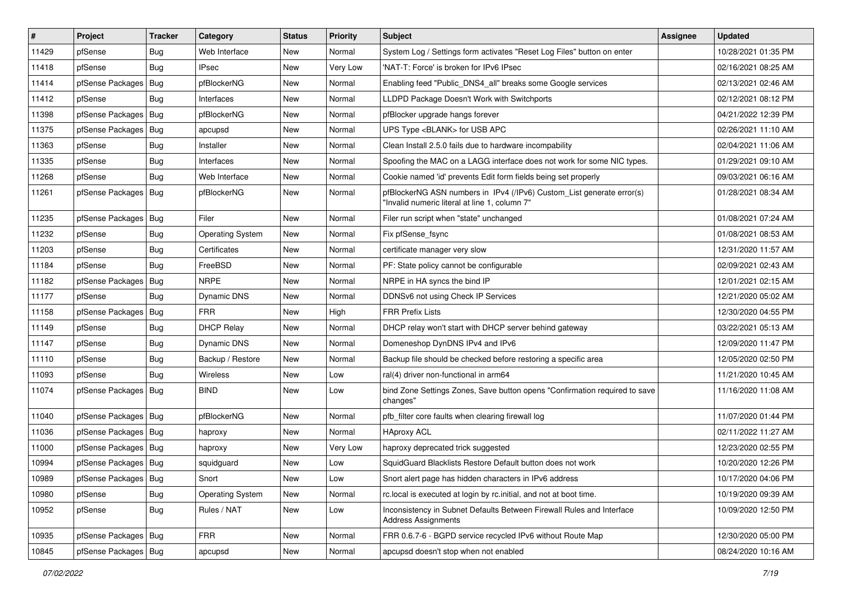| $\vert$ # | Project                | <b>Tracker</b> | Category                | <b>Status</b> | <b>Priority</b> | <b>Subject</b>                                                                                                         | Assignee | <b>Updated</b>      |
|-----------|------------------------|----------------|-------------------------|---------------|-----------------|------------------------------------------------------------------------------------------------------------------------|----------|---------------------|
| 11429     | pfSense                | <b>Bug</b>     | Web Interface           | New           | Normal          | System Log / Settings form activates "Reset Log Files" button on enter                                                 |          | 10/28/2021 01:35 PM |
| 11418     | pfSense                | Bug            | <b>IPsec</b>            | New           | Very Low        | 'NAT-T: Force' is broken for IPv6 IPsec                                                                                |          | 02/16/2021 08:25 AM |
| 11414     | pfSense Packages       | <b>Bug</b>     | pfBlockerNG             | New           | Normal          | Enabling feed "Public_DNS4_all" breaks some Google services                                                            |          | 02/13/2021 02:46 AM |
| 11412     | pfSense                | <b>Bug</b>     | Interfaces              | New           | Normal          | LLDPD Package Doesn't Work with Switchports                                                                            |          | 02/12/2021 08:12 PM |
| 11398     | pfSense Packages       | Bug            | pfBlockerNG             | <b>New</b>    | Normal          | pfBlocker upgrade hangs forever                                                                                        |          | 04/21/2022 12:39 PM |
| 11375     | pfSense Packages       | Bug            | apcupsd                 | New           | Normal          | UPS Type <blank> for USB APC</blank>                                                                                   |          | 02/26/2021 11:10 AM |
| 11363     | pfSense                | <b>Bug</b>     | Installer               | New           | Normal          | Clean Install 2.5.0 fails due to hardware incompability                                                                |          | 02/04/2021 11:06 AM |
| 11335     | pfSense                | Bug            | Interfaces              | New           | Normal          | Spoofing the MAC on a LAGG interface does not work for some NIC types.                                                 |          | 01/29/2021 09:10 AM |
| 11268     | pfSense                | Bug            | Web Interface           | New           | Normal          | Cookie named 'id' prevents Edit form fields being set properly                                                         |          | 09/03/2021 06:16 AM |
| 11261     | pfSense Packages       | Bug            | pfBlockerNG             | New           | Normal          | pfBlockerNG ASN numbers in IPv4 (/IPv6) Custom_List generate error(s)<br>"Invalid numeric literal at line 1, column 7" |          | 01/28/2021 08:34 AM |
| 11235     | pfSense Packages   Bug |                | Filer                   | New           | Normal          | Filer run script when "state" unchanged                                                                                |          | 01/08/2021 07:24 AM |
| 11232     | pfSense                | Bug            | <b>Operating System</b> | New           | Normal          | Fix pfSense_fsync                                                                                                      |          | 01/08/2021 08:53 AM |
| 11203     | pfSense                | Bug            | Certificates            | New           | Normal          | certificate manager very slow                                                                                          |          | 12/31/2020 11:57 AM |
| 11184     | pfSense                | Bug            | FreeBSD                 | New           | Normal          | PF: State policy cannot be configurable                                                                                |          | 02/09/2021 02:43 AM |
| 11182     | pfSense Packages       | Bug            | <b>NRPE</b>             | New           | Normal          | NRPE in HA syncs the bind IP                                                                                           |          | 12/01/2021 02:15 AM |
| 11177     | pfSense                | <b>Bug</b>     | Dynamic DNS             | New           | Normal          | DDNSv6 not using Check IP Services                                                                                     |          | 12/21/2020 05:02 AM |
| 11158     | pfSense Packages       | Bug            | <b>FRR</b>              | <b>New</b>    | High            | <b>FRR Prefix Lists</b>                                                                                                |          | 12/30/2020 04:55 PM |
| 11149     | pfSense                | <b>Bug</b>     | <b>DHCP Relay</b>       | New           | Normal          | DHCP relay won't start with DHCP server behind gateway                                                                 |          | 03/22/2021 05:13 AM |
| 11147     | pfSense                | Bug            | Dynamic DNS             | New           | Normal          | Domeneshop DynDNS IPv4 and IPv6                                                                                        |          | 12/09/2020 11:47 PM |
| 11110     | pfSense                | <b>Bug</b>     | Backup / Restore        | New           | Normal          | Backup file should be checked before restoring a specific area                                                         |          | 12/05/2020 02:50 PM |
| 11093     | pfSense                | Bug            | Wireless                | New           | Low             | ral(4) driver non-functional in arm64                                                                                  |          | 11/21/2020 10:45 AM |
| 11074     | pfSense Packages       | Bug            | <b>BIND</b>             | New           | Low             | bind Zone Settings Zones, Save button opens "Confirmation required to save<br>changes"                                 |          | 11/16/2020 11:08 AM |
| 11040     | pfSense Packages   Bug |                | pfBlockerNG             | New           | Normal          | pfb filter core faults when clearing firewall log                                                                      |          | 11/07/2020 01:44 PM |
| 11036     | pfSense Packages       | Bug            | haproxy                 | <b>New</b>    | Normal          | <b>HAproxy ACL</b>                                                                                                     |          | 02/11/2022 11:27 AM |
| 11000     | pfSense Packages       | Bug            | haproxy                 | New           | Very Low        | haproxy deprecated trick suggested                                                                                     |          | 12/23/2020 02:55 PM |
| 10994     | pfSense Packages   Bug |                | squidguard              | New           | Low             | SquidGuard Blacklists Restore Default button does not work                                                             |          | 10/20/2020 12:26 PM |
| 10989     | pfSense Packages   Bug |                | Snort                   | New           | Low             | Snort alert page has hidden characters in IPv6 address                                                                 |          | 10/17/2020 04:06 PM |
| 10980     | pfSense                | <b>Bug</b>     | <b>Operating System</b> | <b>New</b>    | Normal          | rc.local is executed at login by rc.initial, and not at boot time.                                                     |          | 10/19/2020 09:39 AM |
| 10952     | pfSense                | <b>Bug</b>     | Rules / NAT             | <b>New</b>    | Low             | Inconsistency in Subnet Defaults Between Firewall Rules and Interface<br><b>Address Assignments</b>                    |          | 10/09/2020 12:50 PM |
| 10935     | pfSense Packages   Bug |                | <b>FRR</b>              | New           | Normal          | FRR 0.6.7-6 - BGPD service recycled IPv6 without Route Map                                                             |          | 12/30/2020 05:00 PM |
| 10845     | pfSense Packages       | Bug            | apcupsd                 | New           | Normal          | apcupsd doesn't stop when not enabled                                                                                  |          | 08/24/2020 10:16 AM |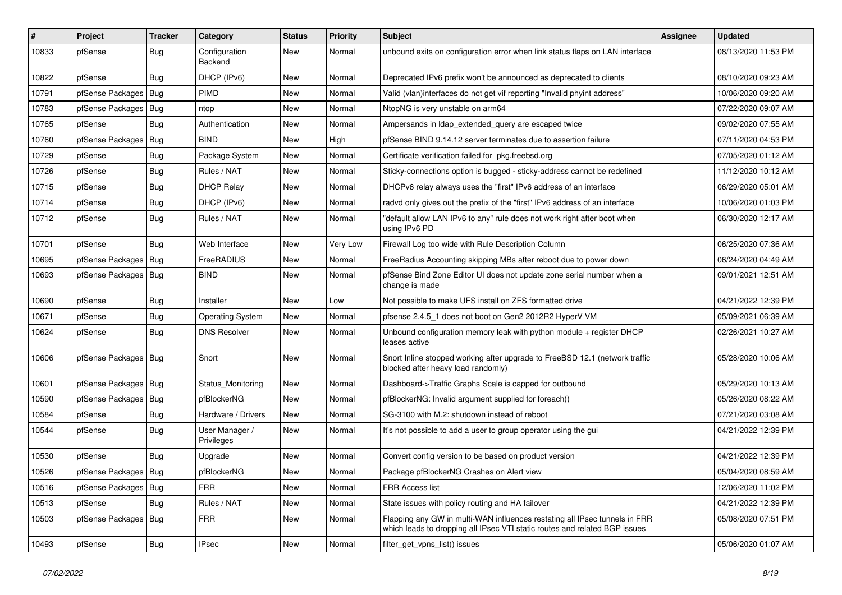| $\sharp$ | Project                | <b>Tracker</b> | Category                     | <b>Status</b> | <b>Priority</b> | <b>Subject</b>                                                                                                                                           | <b>Assignee</b> | <b>Updated</b>      |
|----------|------------------------|----------------|------------------------------|---------------|-----------------|----------------------------------------------------------------------------------------------------------------------------------------------------------|-----------------|---------------------|
| 10833    | pfSense                | <b>Bug</b>     | Configuration<br>Backend     | New           | Normal          | unbound exits on configuration error when link status flaps on LAN interface                                                                             |                 | 08/13/2020 11:53 PM |
| 10822    | pfSense                | Bug            | DHCP (IPv6)                  | New           | Normal          | Deprecated IPv6 prefix won't be announced as deprecated to clients                                                                                       |                 | 08/10/2020 09:23 AM |
| 10791    | pfSense Packages       | Bug            | <b>PIMD</b>                  | New           | Normal          | Valid (vlan)interfaces do not get vif reporting "Invalid phyint address"                                                                                 |                 | 10/06/2020 09:20 AM |
| 10783    | pfSense Packages       | Bug            | ntop                         | New           | Normal          | NtopNG is very unstable on arm64                                                                                                                         |                 | 07/22/2020 09:07 AM |
| 10765    | pfSense                | Bug            | Authentication               | New           | Normal          | Ampersands in Idap extended query are escaped twice                                                                                                      |                 | 09/02/2020 07:55 AM |
| 10760    | pfSense Packages       | Bug            | <b>BIND</b>                  | New           | High            | pfSense BIND 9.14.12 server terminates due to assertion failure                                                                                          |                 | 07/11/2020 04:53 PM |
| 10729    | pfSense                | Bug            | Package System               | New           | Normal          | Certificate verification failed for pkg.freebsd.org                                                                                                      |                 | 07/05/2020 01:12 AM |
| 10726    | pfSense                | Bug            | Rules / NAT                  | New           | Normal          | Sticky-connections option is bugged - sticky-address cannot be redefined                                                                                 |                 | 11/12/2020 10:12 AM |
| 10715    | pfSense                | Bug            | <b>DHCP Relay</b>            | New           | Normal          | DHCPv6 relay always uses the "first" IPv6 address of an interface                                                                                        |                 | 06/29/2020 05:01 AM |
| 10714    | pfSense                | <b>Bug</b>     | DHCP (IPv6)                  | New           | Normal          | radyd only gives out the prefix of the "first" IPv6 address of an interface                                                                              |                 | 10/06/2020 01:03 PM |
| 10712    | pfSense                | Bug            | Rules / NAT                  | New           | Normal          | "default allow LAN IPv6 to any" rule does not work right after boot when<br>using IPv6 PD                                                                |                 | 06/30/2020 12:17 AM |
| 10701    | pfSense                | Bug            | Web Interface                | New           | Very Low        | Firewall Log too wide with Rule Description Column                                                                                                       |                 | 06/25/2020 07:36 AM |
| 10695    | pfSense Packages       | Bug            | FreeRADIUS                   | New           | Normal          | FreeRadius Accounting skipping MBs after reboot due to power down                                                                                        |                 | 06/24/2020 04:49 AM |
| 10693    | pfSense Packages   Bug |                | <b>BIND</b>                  | New           | Normal          | pfSense Bind Zone Editor UI does not update zone serial number when a<br>change is made                                                                  |                 | 09/01/2021 12:51 AM |
| 10690    | pfSense                | Bug            | Installer                    | New           | Low             | Not possible to make UFS install on ZFS formatted drive                                                                                                  |                 | 04/21/2022 12:39 PM |
| 10671    | pfSense                | <b>Bug</b>     | <b>Operating System</b>      | New           | Normal          | pfsense 2.4.5_1 does not boot on Gen2 2012R2 HyperV VM                                                                                                   |                 | 05/09/2021 06:39 AM |
| 10624    | pfSense                | Bug            | <b>DNS Resolver</b>          | New           | Normal          | Unbound configuration memory leak with python module + register DHCP<br>leases active                                                                    |                 | 02/26/2021 10:27 AM |
| 10606    | pfSense Packages   Bug |                | Snort                        | New           | Normal          | Snort Inline stopped working after upgrade to FreeBSD 12.1 (network traffic<br>blocked after heavy load randomly)                                        |                 | 05/28/2020 10:06 AM |
| 10601    | pfSense Packages   Bug |                | Status Monitoring            | New           | Normal          | Dashboard->Traffic Graphs Scale is capped for outbound                                                                                                   |                 | 05/29/2020 10:13 AM |
| 10590    | pfSense Packages   Bug |                | pfBlockerNG                  | New           | Normal          | pfBlockerNG: Invalid argument supplied for foreach()                                                                                                     |                 | 05/26/2020 08:22 AM |
| 10584    | pfSense                | Bug            | Hardware / Drivers           | New           | Normal          | SG-3100 with M.2: shutdown instead of reboot                                                                                                             |                 | 07/21/2020 03:08 AM |
| 10544    | pfSense                | <b>Bug</b>     | User Manager /<br>Privileges | New           | Normal          | It's not possible to add a user to group operator using the gui                                                                                          |                 | 04/21/2022 12:39 PM |
| 10530    | pfSense                | Bug            | Upgrade                      | New           | Normal          | Convert config version to be based on product version                                                                                                    |                 | 04/21/2022 12:39 PM |
| 10526    | pfSense Packages   Bug |                | pfBlockerNG                  | New           | Normal          | Package pfBlockerNG Crashes on Alert view                                                                                                                |                 | 05/04/2020 08:59 AM |
| 10516    | pfSense Packages   Bug |                | <b>FRR</b>                   | New           | Normal          | FRR Access list                                                                                                                                          |                 | 12/06/2020 11:02 PM |
| 10513    | pfSense                | Bug            | Rules / NAT                  | New           | Normal          | State issues with policy routing and HA failover                                                                                                         |                 | 04/21/2022 12:39 PM |
| 10503    | pfSense Packages   Bug |                | <b>FRR</b>                   | New           | Normal          | Flapping any GW in multi-WAN influences restating all IPsec tunnels in FRR<br>which leads to dropping all IPsec VTI static routes and related BGP issues |                 | 05/08/2020 07:51 PM |
| 10493    | pfSense                | <b>Bug</b>     | IPsec                        | New           | Normal          | filter_get_vpns_list() issues                                                                                                                            |                 | 05/06/2020 01:07 AM |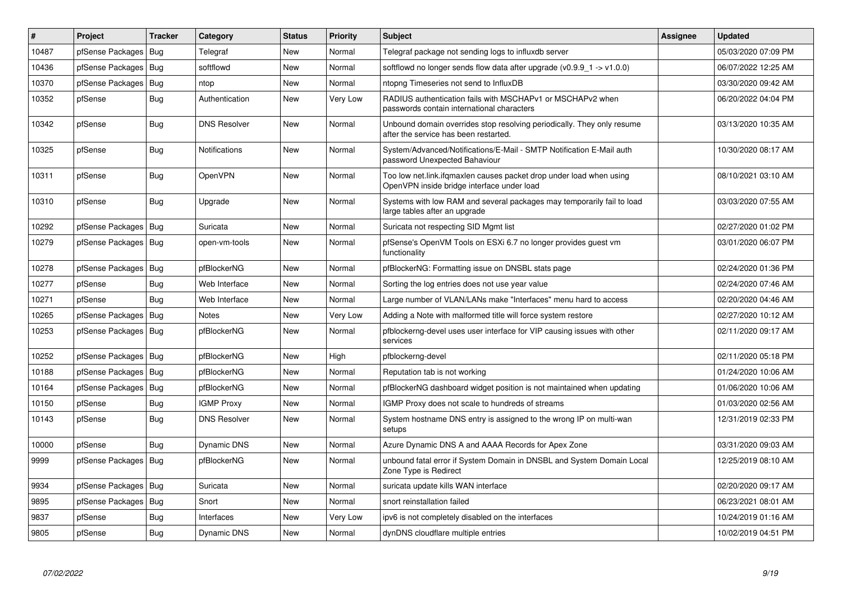| #     | Project          | <b>Tracker</b> | Category             | <b>Status</b> | <b>Priority</b> | <b>Subject</b>                                                                                                    | Assignee | <b>Updated</b>      |
|-------|------------------|----------------|----------------------|---------------|-----------------|-------------------------------------------------------------------------------------------------------------------|----------|---------------------|
| 10487 | pfSense Packages | Bug            | Telegraf             | <b>New</b>    | Normal          | Telegraf package not sending logs to influxdb server                                                              |          | 05/03/2020 07:09 PM |
| 10436 | pfSense Packages | Bug            | softflowd            | <b>New</b>    | Normal          | softflowd no longer sends flow data after upgrade ( $v0.9.9$ 1 -> $v1.0.0$ )                                      |          | 06/07/2022 12:25 AM |
| 10370 | pfSense Packages | Bug            | ntop                 | <b>New</b>    | Normal          | ntopng Timeseries not send to InfluxDB                                                                            |          | 03/30/2020 09:42 AM |
| 10352 | pfSense          | Bug            | Authentication       | New           | Very Low        | RADIUS authentication fails with MSCHAPv1 or MSCHAPv2 when<br>passwords contain international characters          |          | 06/20/2022 04:04 PM |
| 10342 | pfSense          | <b>Bug</b>     | <b>DNS Resolver</b>  | <b>New</b>    | Normal          | Unbound domain overrides stop resolving periodically. They only resume<br>after the service has been restarted.   |          | 03/13/2020 10:35 AM |
| 10325 | pfSense          | <b>Bug</b>     | <b>Notifications</b> | <b>New</b>    | Normal          | System/Advanced/Notifications/E-Mail - SMTP Notification E-Mail auth<br>password Unexpected Bahaviour             |          | 10/30/2020 08:17 AM |
| 10311 | pfSense          | <b>Bug</b>     | <b>OpenVPN</b>       | <b>New</b>    | Normal          | Too low net.link.ifqmaxlen causes packet drop under load when using<br>OpenVPN inside bridge interface under load |          | 08/10/2021 03:10 AM |
| 10310 | pfSense          | Bug            | Upgrade              | New           | Normal          | Systems with low RAM and several packages may temporarily fail to load<br>large tables after an upgrade           |          | 03/03/2020 07:55 AM |
| 10292 | pfSense Packages | Bug            | Suricata             | New           | Normal          | Suricata not respecting SID Mgmt list                                                                             |          | 02/27/2020 01:02 PM |
| 10279 | pfSense Packages | Bug            | open-vm-tools        | New           | Normal          | pfSense's OpenVM Tools on ESXi 6.7 no longer provides guest vm<br>functionality                                   |          | 03/01/2020 06:07 PM |
| 10278 | pfSense Packages | <b>Bug</b>     | pfBlockerNG          | <b>New</b>    | Normal          | pfBlockerNG: Formatting issue on DNSBL stats page                                                                 |          | 02/24/2020 01:36 PM |
| 10277 | pfSense          | Bug            | Web Interface        | New           | Normal          | Sorting the log entries does not use year value                                                                   |          | 02/24/2020 07:46 AM |
| 10271 | pfSense          | <b>Bug</b>     | Web Interface        | <b>New</b>    | Normal          | Large number of VLAN/LANs make "Interfaces" menu hard to access                                                   |          | 02/20/2020 04:46 AM |
| 10265 | pfSense Packages | Bug            | <b>Notes</b>         | New           | Very Low        | Adding a Note with malformed title will force system restore                                                      |          | 02/27/2020 10:12 AM |
| 10253 | pfSense Packages | Bug            | pfBlockerNG          | <b>New</b>    | Normal          | pfblockerng-devel uses user interface for VIP causing issues with other<br>services                               |          | 02/11/2020 09:17 AM |
| 10252 | pfSense Packages | Bug            | pfBlockerNG          | <b>New</b>    | High            | pfblockerng-devel                                                                                                 |          | 02/11/2020 05:18 PM |
| 10188 | pfSense Packages | Bug            | pfBlockerNG          | New           | Normal          | Reputation tab is not working                                                                                     |          | 01/24/2020 10:06 AM |
| 10164 | pfSense Packages | Bug            | pfBlockerNG          | New           | Normal          | pfBlockerNG dashboard widget position is not maintained when updating                                             |          | 01/06/2020 10:06 AM |
| 10150 | pfSense          | <b>Bug</b>     | <b>IGMP Proxy</b>    | <b>New</b>    | Normal          | IGMP Proxy does not scale to hundreds of streams                                                                  |          | 01/03/2020 02:56 AM |
| 10143 | pfSense          | <b>Bug</b>     | <b>DNS Resolver</b>  | New           | Normal          | System hostname DNS entry is assigned to the wrong IP on multi-wan<br>setups                                      |          | 12/31/2019 02:33 PM |
| 10000 | pfSense          | Bug            | Dynamic DNS          | New           | Normal          | Azure Dynamic DNS A and AAAA Records for Apex Zone                                                                |          | 03/31/2020 09:03 AM |
| 9999  | pfSense Packages | Bug            | pfBlockerNG          | <b>New</b>    | Normal          | unbound fatal error if System Domain in DNSBL and System Domain Local<br>Zone Type is Redirect                    |          | 12/25/2019 08:10 AM |
| 9934  | pfSense Packages | Bug            | Suricata             | New           | Normal          | suricata update kills WAN interface                                                                               |          | 02/20/2020 09:17 AM |
| 9895  | pfSense Packages | Bug            | Snort                | <b>New</b>    | Normal          | snort reinstallation failed                                                                                       |          | 06/23/2021 08:01 AM |
| 9837  | pfSense          | Bug            | Interfaces           | New           | Very Low        | ipv6 is not completely disabled on the interfaces                                                                 |          | 10/24/2019 01:16 AM |
| 9805  | pfSense          | Bug            | Dynamic DNS          | New           | Normal          | dynDNS cloudflare multiple entries                                                                                |          | 10/02/2019 04:51 PM |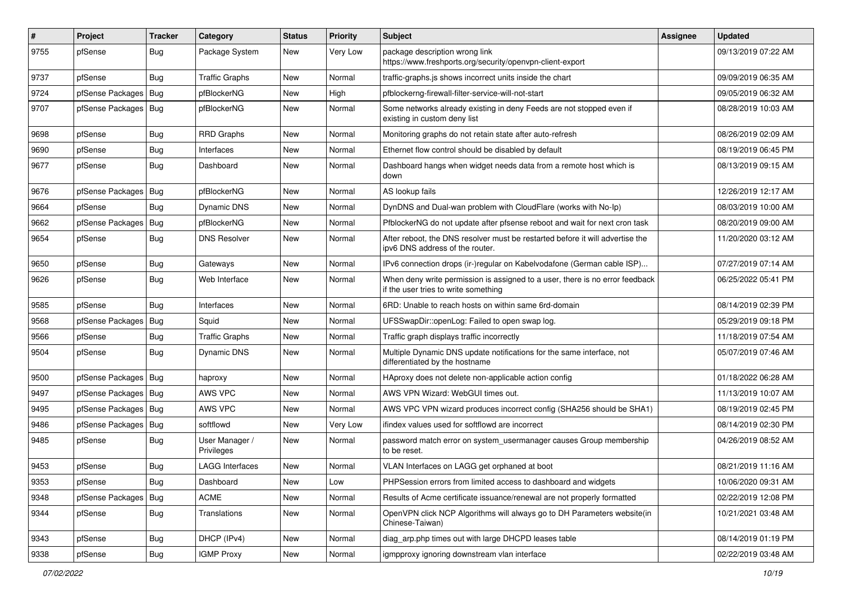| $\vert$ # | Project                | <b>Tracker</b> | Category                     | <b>Status</b> | <b>Priority</b> | <b>Subject</b>                                                                                                       | <b>Assignee</b> | <b>Updated</b>      |
|-----------|------------------------|----------------|------------------------------|---------------|-----------------|----------------------------------------------------------------------------------------------------------------------|-----------------|---------------------|
| 9755      | pfSense                | <b>Bug</b>     | Package System               | New           | Very Low        | package description wrong link<br>https://www.freshports.org/security/openvpn-client-export                          |                 | 09/13/2019 07:22 AM |
| 9737      | pfSense                | <b>Bug</b>     | <b>Traffic Graphs</b>        | New           | Normal          | traffic-graphs.js shows incorrect units inside the chart                                                             |                 | 09/09/2019 06:35 AM |
| 9724      | pfSense Packages   Bug |                | pfBlockerNG                  | New           | High            | pfblockerng-firewall-filter-service-will-not-start                                                                   |                 | 09/05/2019 06:32 AM |
| 9707      | pfSense Packages   Bug |                | pfBlockerNG                  | New           | Normal          | Some networks already existing in deny Feeds are not stopped even if<br>existing in custom deny list                 |                 | 08/28/2019 10:03 AM |
| 9698      | pfSense                | Bug            | <b>RRD Graphs</b>            | New           | Normal          | Monitoring graphs do not retain state after auto-refresh                                                             |                 | 08/26/2019 02:09 AM |
| 9690      | pfSense                | Bug            | Interfaces                   | New           | Normal          | Ethernet flow control should be disabled by default                                                                  |                 | 08/19/2019 06:45 PM |
| 9677      | pfSense                | <b>Bug</b>     | Dashboard                    | New           | Normal          | Dashboard hangs when widget needs data from a remote host which is<br>down                                           |                 | 08/13/2019 09:15 AM |
| 9676      | pfSense Packages       | <b>Bug</b>     | pfBlockerNG                  | New           | Normal          | AS lookup fails                                                                                                      |                 | 12/26/2019 12:17 AM |
| 9664      | pfSense                | Bug            | Dynamic DNS                  | New           | Normal          | DynDNS and Dual-wan problem with CloudFlare (works with No-Ip)                                                       |                 | 08/03/2019 10:00 AM |
| 9662      | pfSense Packages       | Bug            | pfBlockerNG                  | New           | Normal          | PfblockerNG do not update after pfsense reboot and wait for next cron task                                           |                 | 08/20/2019 09:00 AM |
| 9654      | pfSense                | <b>Bug</b>     | DNS Resolver                 | New           | Normal          | After reboot, the DNS resolver must be restarted before it will advertise the<br>ipv6 DNS address of the router.     |                 | 11/20/2020 03:12 AM |
| 9650      | pfSense                | Bug            | Gateways                     | New           | Normal          | IPv6 connection drops (ir-)regular on Kabelvodafone (German cable ISP)                                               |                 | 07/27/2019 07:14 AM |
| 9626      | pfSense                | Bug            | Web Interface                | New           | Normal          | When deny write permission is assigned to a user, there is no error feedback<br>if the user tries to write something |                 | 06/25/2022 05:41 PM |
| 9585      | pfSense                | <b>Bug</b>     | Interfaces                   | New           | Normal          | 6RD: Unable to reach hosts on within same 6rd-domain                                                                 |                 | 08/14/2019 02:39 PM |
| 9568      | pfSense Packages   Bug |                | Squid                        | New           | Normal          | UFSSwapDir::openLog: Failed to open swap log.                                                                        |                 | 05/29/2019 09:18 PM |
| 9566      | pfSense                | Bug            | <b>Traffic Graphs</b>        | New           | Normal          | Traffic graph displays traffic incorrectly                                                                           |                 | 11/18/2019 07:54 AM |
| 9504      | pfSense                | <b>Bug</b>     | Dynamic DNS                  | New           | Normal          | Multiple Dynamic DNS update notifications for the same interface, not<br>differentiated by the hostname              |                 | 05/07/2019 07:46 AM |
| 9500      | pfSense Packages       | Bug            | haproxy                      | New           | Normal          | HAproxy does not delete non-applicable action config                                                                 |                 | 01/18/2022 06:28 AM |
| 9497      | pfSense Packages       | Bug            | AWS VPC                      | New           | Normal          | AWS VPN Wizard: WebGUI times out.                                                                                    |                 | 11/13/2019 10:07 AM |
| 9495      | pfSense Packages       | <b>Bug</b>     | AWS VPC                      | New           | Normal          | AWS VPC VPN wizard produces incorrect config (SHA256 should be SHA1)                                                 |                 | 08/19/2019 02:45 PM |
| 9486      | pfSense Packages       | Bug            | softflowd                    | New           | Very Low        | ifindex values used for softflowd are incorrect                                                                      |                 | 08/14/2019 02:30 PM |
| 9485      | pfSense                | <b>Bug</b>     | User Manager /<br>Privileges | New           | Normal          | password match error on system_usermanager causes Group membership<br>to be reset.                                   |                 | 04/26/2019 08:52 AM |
| 9453      | pfSense                | <b>Bug</b>     | LAGG Interfaces              | New           | Normal          | VLAN Interfaces on LAGG get orphaned at boot                                                                         |                 | 08/21/2019 11:16 AM |
| 9353      | pfSense                | <b>Bug</b>     | Dashboard                    | New           | Low             | PHPSession errors from limited access to dashboard and widgets                                                       |                 | 10/06/2020 09:31 AM |
| 9348      | pfSense Packages       | <b>Bug</b>     | <b>ACME</b>                  | New           | Normal          | Results of Acme certificate issuance/renewal are not properly formatted                                              |                 | 02/22/2019 12:08 PM |
| 9344      | pfSense                | <b>Bug</b>     | Translations                 | New           | Normal          | OpenVPN click NCP Algorithms will always go to DH Parameters website(in<br>Chinese-Taiwan)                           |                 | 10/21/2021 03:48 AM |
| 9343      | pfSense                | Bug            | DHCP (IPv4)                  | New           | Normal          | diag arp.php times out with large DHCPD leases table                                                                 |                 | 08/14/2019 01:19 PM |
| 9338      | pfSense                | Bug            | <b>IGMP Proxy</b>            | New           | Normal          | igmpproxy ignoring downstream vlan interface                                                                         |                 | 02/22/2019 03:48 AM |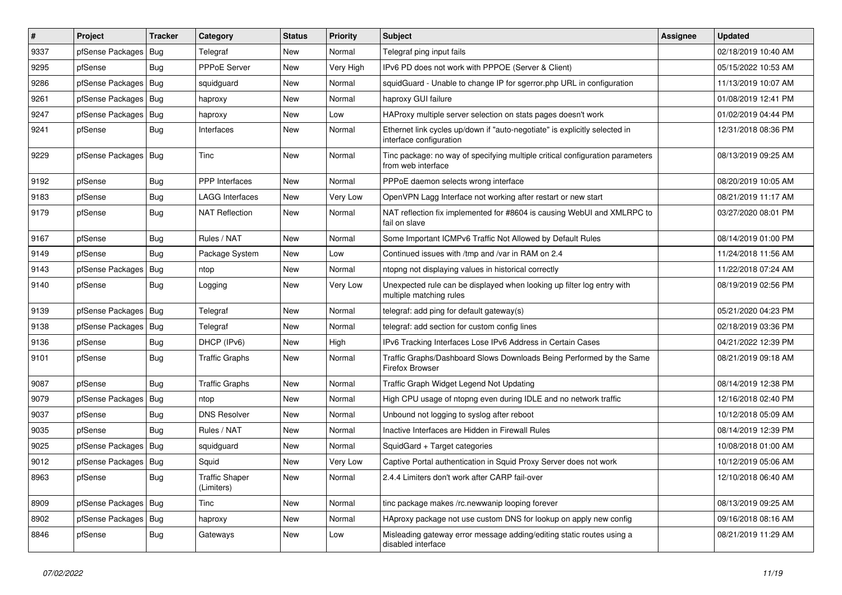| $\vert$ # | Project                | <b>Tracker</b> | Category                     | <b>Status</b> | <b>Priority</b> | Subject                                                                                               | <b>Assignee</b> | <b>Updated</b>      |
|-----------|------------------------|----------------|------------------------------|---------------|-----------------|-------------------------------------------------------------------------------------------------------|-----------------|---------------------|
| 9337      | pfSense Packages       | Bug            | Telegraf                     | New           | Normal          | Telegraf ping input fails                                                                             |                 | 02/18/2019 10:40 AM |
| 9295      | pfSense                | Bug            | <b>PPPoE Server</b>          | New           | Very High       | IPv6 PD does not work with PPPOE (Server & Client)                                                    |                 | 05/15/2022 10:53 AM |
| 9286      | pfSense Packages       | Bug            | squidquard                   | New           | Normal          | squidGuard - Unable to change IP for sgerror.php URL in configuration                                 |                 | 11/13/2019 10:07 AM |
| 9261      | pfSense Packages   Bug |                | haproxy                      | New           | Normal          | haproxy GUI failure                                                                                   |                 | 01/08/2019 12:41 PM |
| 9247      | pfSense Packages       | Bug            | haproxy                      | New           | Low             | HAProxy multiple server selection on stats pages doesn't work                                         |                 | 01/02/2019 04:44 PM |
| 9241      | pfSense                | Bug            | Interfaces                   | New           | Normal          | Ethernet link cycles up/down if "auto-negotiate" is explicitly selected in<br>interface configuration |                 | 12/31/2018 08:36 PM |
| 9229      | pfSense Packages       | Bug            | Tinc                         | <b>New</b>    | Normal          | Tinc package: no way of specifying multiple critical configuration parameters<br>from web interface   |                 | 08/13/2019 09:25 AM |
| 9192      | pfSense                | Bug            | <b>PPP</b> Interfaces        | New           | Normal          | PPPoE daemon selects wrong interface                                                                  |                 | 08/20/2019 10:05 AM |
| 9183      | pfSense                | Bug            | <b>LAGG Interfaces</b>       | New           | Very Low        | OpenVPN Lagg Interface not working after restart or new start                                         |                 | 08/21/2019 11:17 AM |
| 9179      | pfSense                | Bug            | <b>NAT Reflection</b>        | New           | Normal          | NAT reflection fix implemented for #8604 is causing WebUI and XMLRPC to<br>fail on slave              |                 | 03/27/2020 08:01 PM |
| 9167      | pfSense                | <b>Bug</b>     | Rules / NAT                  | New           | Normal          | Some Important ICMPv6 Traffic Not Allowed by Default Rules                                            |                 | 08/14/2019 01:00 PM |
| 9149      | pfSense                | Bug            | Package System               | New           | Low             | Continued issues with /tmp and /var in RAM on 2.4                                                     |                 | 11/24/2018 11:56 AM |
| 9143      | pfSense Packages       | Bug            | ntop                         | <b>New</b>    | Normal          | ntopng not displaying values in historical correctly                                                  |                 | 11/22/2018 07:24 AM |
| 9140      | pfSense                | Bug            | Logging                      | New           | Very Low        | Unexpected rule can be displayed when looking up filter log entry with<br>multiple matching rules     |                 | 08/19/2019 02:56 PM |
| 9139      | pfSense Packages       | Bug            | Telegraf                     | New           | Normal          | telegraf: add ping for default gateway(s)                                                             |                 | 05/21/2020 04:23 PM |
| 9138      | pfSense Packages       | Bug            | Telegraf                     | <b>New</b>    | Normal          | telegraf: add section for custom config lines                                                         |                 | 02/18/2019 03:36 PM |
| 9136      | pfSense                | Bug            | DHCP (IPv6)                  | New           | High            | IPv6 Tracking Interfaces Lose IPv6 Address in Certain Cases                                           |                 | 04/21/2022 12:39 PM |
| 9101      | pfSense                | Bug            | <b>Traffic Graphs</b>        | New           | Normal          | Traffic Graphs/Dashboard Slows Downloads Being Performed by the Same<br>Firefox Browser               |                 | 08/21/2019 09:18 AM |
| 9087      | pfSense                | <b>Bug</b>     | <b>Traffic Graphs</b>        | <b>New</b>    | Normal          | Traffic Graph Widget Legend Not Updating                                                              |                 | 08/14/2019 12:38 PM |
| 9079      | pfSense Packages       | <b>Bug</b>     | ntop                         | New           | Normal          | High CPU usage of ntopng even during IDLE and no network traffic                                      |                 | 12/16/2018 02:40 PM |
| 9037      | pfSense                | <b>Bug</b>     | <b>DNS Resolver</b>          | New           | Normal          | Unbound not logging to syslog after reboot                                                            |                 | 10/12/2018 05:09 AM |
| 9035      | pfSense                | Bug            | Rules / NAT                  | New           | Normal          | Inactive Interfaces are Hidden in Firewall Rules                                                      |                 | 08/14/2019 12:39 PM |
| 9025      | pfSense Packages       | Bug            | squidguard                   | New           | Normal          | SquidGard + Target categories                                                                         |                 | 10/08/2018 01:00 AM |
| 9012      | pfSense Packages       | Bug            | Squid                        | New           | Very Low        | Captive Portal authentication in Squid Proxy Server does not work                                     |                 | 10/12/2019 05:06 AM |
| 8963      | pfSense                | Bug            | Traffic Shaper<br>(Limiters) | New           | Normal          | 2.4.4 Limiters don't work after CARP fail-over                                                        |                 | 12/10/2018 06:40 AM |
| 8909      | pfSense Packages Bug   |                | Tinc                         | New           | Normal          | tinc package makes /rc.newwanip looping forever                                                       |                 | 08/13/2019 09:25 AM |
| 8902      | pfSense Packages       | <b>Bug</b>     | haproxy                      | New           | Normal          | HAproxy package not use custom DNS for lookup on apply new config                                     |                 | 09/16/2018 08:16 AM |
| 8846      | pfSense                | Bug            | Gateways                     | New           | Low             | Misleading gateway error message adding/editing static routes using a<br>disabled interface           |                 | 08/21/2019 11:29 AM |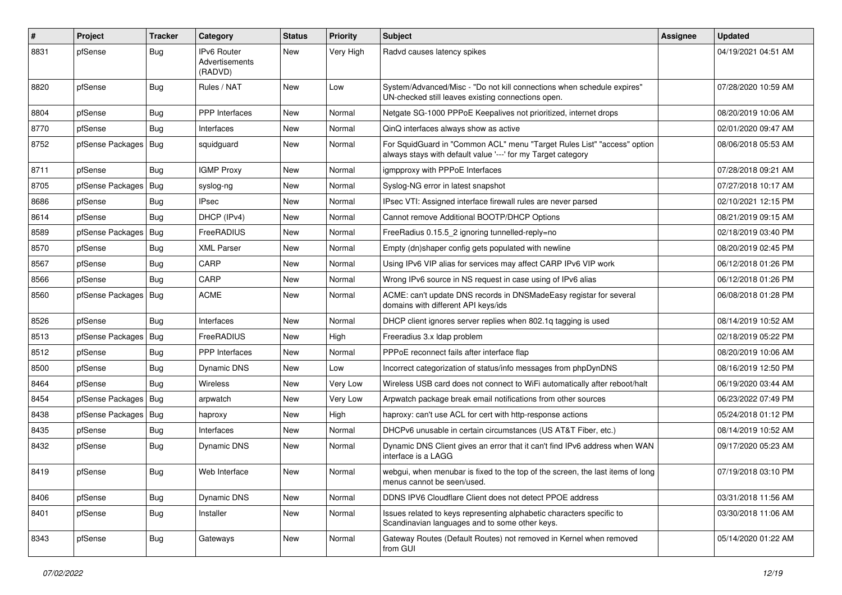| $\vert$ # | Project                | <b>Tracker</b> | Category                                        | <b>Status</b> | <b>Priority</b> | <b>Subject</b>                                                                                                                          | Assignee | <b>Updated</b>      |
|-----------|------------------------|----------------|-------------------------------------------------|---------------|-----------------|-----------------------------------------------------------------------------------------------------------------------------------------|----------|---------------------|
| 8831      | pfSense                | <b>Bug</b>     | <b>IPv6 Router</b><br>Advertisements<br>(RADVD) | New           | Very High       | Radvd causes latency spikes                                                                                                             |          | 04/19/2021 04:51 AM |
| 8820      | pfSense                | <b>Bug</b>     | Rules / NAT                                     | New           | Low             | System/Advanced/Misc - "Do not kill connections when schedule expires"<br>UN-checked still leaves existing connections open.            |          | 07/28/2020 10:59 AM |
| 8804      | pfSense                | <b>Bug</b>     | <b>PPP</b> Interfaces                           | <b>New</b>    | Normal          | Netgate SG-1000 PPPoE Keepalives not prioritized, internet drops                                                                        |          | 08/20/2019 10:06 AM |
| 8770      | pfSense                | Bug            | Interfaces                                      | New           | Normal          | QinQ interfaces always show as active                                                                                                   |          | 02/01/2020 09:47 AM |
| 8752      | pfSense Packages       | Bug            | squidguard                                      | New           | Normal          | For SquidGuard in "Common ACL" menu "Target Rules List" "access" option<br>always stays with default value '---' for my Target category |          | 08/06/2018 05:53 AM |
| 8711      | pfSense                | Bug            | <b>IGMP Proxy</b>                               | New           | Normal          | igmpproxy with PPPoE Interfaces                                                                                                         |          | 07/28/2018 09:21 AM |
| 8705      | pfSense Packages       | Bug            | syslog-ng                                       | New           | Normal          | Syslog-NG error in latest snapshot                                                                                                      |          | 07/27/2018 10:17 AM |
| 8686      | pfSense                | <b>Bug</b>     | <b>IPsec</b>                                    | New           | Normal          | IPsec VTI: Assigned interface firewall rules are never parsed                                                                           |          | 02/10/2021 12:15 PM |
| 8614      | pfSense                | Bug            | DHCP (IPv4)                                     | New           | Normal          | Cannot remove Additional BOOTP/DHCP Options                                                                                             |          | 08/21/2019 09:15 AM |
| 8589      | pfSense Packages       | Bug            | FreeRADIUS                                      | New           | Normal          | FreeRadius 0.15.5 2 ignoring tunnelled-reply=no                                                                                         |          | 02/18/2019 03:40 PM |
| 8570      | pfSense                | Bug            | <b>XML Parser</b>                               | New           | Normal          | Empty (dn)shaper config gets populated with newline                                                                                     |          | 08/20/2019 02:45 PM |
| 8567      | pfSense                | <b>Bug</b>     | CARP                                            | New           | Normal          | Using IPv6 VIP alias for services may affect CARP IPv6 VIP work                                                                         |          | 06/12/2018 01:26 PM |
| 8566      | pfSense                | <b>Bug</b>     | CARP                                            | New           | Normal          | Wrong IPv6 source in NS request in case using of IPv6 alias                                                                             |          | 06/12/2018 01:26 PM |
| 8560      | pfSense Packages   Bug |                | <b>ACME</b>                                     | New           | Normal          | ACME: can't update DNS records in DNSMadeEasy registar for several<br>domains with different API keys/ids                               |          | 06/08/2018 01:28 PM |
| 8526      | pfSense                | Bug            | Interfaces                                      | New           | Normal          | DHCP client ignores server replies when 802.1q tagging is used                                                                          |          | 08/14/2019 10:52 AM |
| 8513      | pfSense Packages       | Bug            | FreeRADIUS                                      | New           | High            | Freeradius 3.x Idap problem                                                                                                             |          | 02/18/2019 05:22 PM |
| 8512      | pfSense                | <b>Bug</b>     | PPP Interfaces                                  | New           | Normal          | PPPoE reconnect fails after interface flap                                                                                              |          | 08/20/2019 10:06 AM |
| 8500      | pfSense                | <b>Bug</b>     | Dynamic DNS                                     | <b>New</b>    | Low             | Incorrect categorization of status/info messages from phpDynDNS                                                                         |          | 08/16/2019 12:50 PM |
| 8464      | pfSense                | Bug            | Wireless                                        | New           | Very Low        | Wireless USB card does not connect to WiFi automatically after reboot/halt                                                              |          | 06/19/2020 03:44 AM |
| 8454      | pfSense Packages       | Bug            | arpwatch                                        | New           | Very Low        | Arpwatch package break email notifications from other sources                                                                           |          | 06/23/2022 07:49 PM |
| 8438      | pfSense Packages       | Bug            | haproxy                                         | <b>New</b>    | High            | haproxy: can't use ACL for cert with http-response actions                                                                              |          | 05/24/2018 01:12 PM |
| 8435      | pfSense                | <b>Bug</b>     | Interfaces                                      | New           | Normal          | DHCPv6 unusable in certain circumstances (US AT&T Fiber, etc.)                                                                          |          | 08/14/2019 10:52 AM |
| 8432      | pfSense                | Bug            | <b>Dynamic DNS</b>                              | New           | Normal          | Dynamic DNS Client gives an error that it can't find IPv6 address when WAN<br>interface is a LAGG                                       |          | 09/17/2020 05:23 AM |
| 8419      | pfSense                | Bug            | Web Interface                                   | New           | Normal          | webgui, when menubar is fixed to the top of the screen, the last items of long<br>menus cannot be seen/used.                            |          | 07/19/2018 03:10 PM |
| 8406      | pfSense                | <b>Bug</b>     | Dynamic DNS                                     | <b>New</b>    | Normal          | DDNS IPV6 Cloudflare Client does not detect PPOE address                                                                                |          | 03/31/2018 11:56 AM |
| 8401      | pfSense                | <b>Bug</b>     | Installer                                       | New           | Normal          | Issues related to keys representing alphabetic characters specific to<br>Scandinavian languages and to some other keys.                 |          | 03/30/2018 11:06 AM |
| 8343      | pfSense                | <b>Bug</b>     | Gateways                                        | New           | Normal          | Gateway Routes (Default Routes) not removed in Kernel when removed<br>from GUI                                                          |          | 05/14/2020 01:22 AM |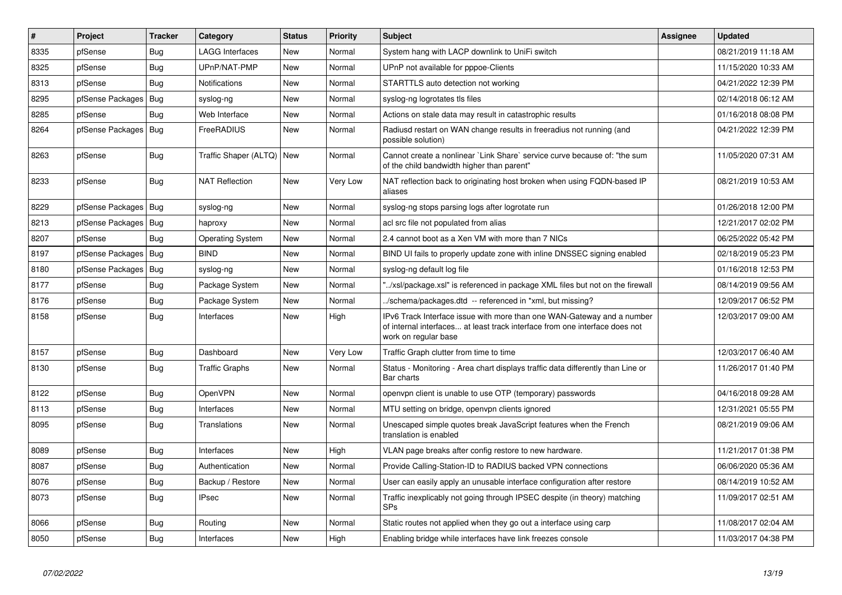| $\vert$ # | Project          | <b>Tracker</b> | Category               | <b>Status</b> | <b>Priority</b> | <b>Subject</b>                                                                                                                                                                | <b>Assignee</b> | <b>Updated</b>      |
|-----------|------------------|----------------|------------------------|---------------|-----------------|-------------------------------------------------------------------------------------------------------------------------------------------------------------------------------|-----------------|---------------------|
| 8335      | pfSense          | <b>Bug</b>     | <b>LAGG Interfaces</b> | <b>New</b>    | Normal          | System hang with LACP downlink to UniFi switch                                                                                                                                |                 | 08/21/2019 11:18 AM |
| 8325      | pfSense          | Bug            | UPnP/NAT-PMP           | <b>New</b>    | Normal          | UPnP not available for pppoe-Clients                                                                                                                                          |                 | 11/15/2020 10:33 AM |
| 8313      | pfSense          | Bug            | Notifications          | <b>New</b>    | Normal          | STARTTLS auto detection not working                                                                                                                                           |                 | 04/21/2022 12:39 PM |
| 8295      | pfSense Packages | Bug            | syslog-ng              | New           | Normal          | syslog-ng logrotates tls files                                                                                                                                                |                 | 02/14/2018 06:12 AM |
| 8285      | pfSense          | <b>Bug</b>     | Web Interface          | <b>New</b>    | Normal          | Actions on stale data may result in catastrophic results                                                                                                                      |                 | 01/16/2018 08:08 PM |
| 8264      | pfSense Packages | Bug            | FreeRADIUS             | <b>New</b>    | Normal          | Radiusd restart on WAN change results in freeradius not running (and<br>possible solution)                                                                                    |                 | 04/21/2022 12:39 PM |
| 8263      | pfSense          | Bug            | Traffic Shaper (ALTQ)  | New           | Normal          | Cannot create a nonlinear `Link Share` service curve because of: "the sum<br>of the child bandwidth higher than parent"                                                       |                 | 11/05/2020 07:31 AM |
| 8233      | pfSense          | Bug            | <b>NAT Reflection</b>  | New           | Very Low        | NAT reflection back to originating host broken when using FQDN-based IP<br>aliases                                                                                            |                 | 08/21/2019 10:53 AM |
| 8229      | pfSense Packages | Bug            | syslog-ng              | New           | Normal          | syslog-ng stops parsing logs after logrotate run                                                                                                                              |                 | 01/26/2018 12:00 PM |
| 8213      | pfSense Packages | Bug            | haproxy                | New           | Normal          | acl src file not populated from alias                                                                                                                                         |                 | 12/21/2017 02:02 PM |
| 8207      | pfSense          | <b>Bug</b>     | Operating System       | New           | Normal          | 2.4 cannot boot as a Xen VM with more than 7 NICs                                                                                                                             |                 | 06/25/2022 05:42 PM |
| 8197      | pfSense Packages | Bug            | <b>BIND</b>            | New           | Normal          | BIND UI fails to properly update zone with inline DNSSEC signing enabled                                                                                                      |                 | 02/18/2019 05:23 PM |
| 8180      | pfSense Packages | Bug            | syslog-ng              | <b>New</b>    | Normal          | syslog-ng default log file                                                                                                                                                    |                 | 01/16/2018 12:53 PM |
| 8177      | pfSense          | Bug            | Package System         | New           | Normal          | '/xsl/package.xsl" is referenced in package XML files but not on the firewall                                                                                                 |                 | 08/14/2019 09:56 AM |
| 8176      | pfSense          | Bug            | Package System         | New           | Normal          | ./schema/packages.dtd -- referenced in *xml, but missing?                                                                                                                     |                 | 12/09/2017 06:52 PM |
| 8158      | pfSense          | <b>Bug</b>     | Interfaces             | New           | High            | IPv6 Track Interface issue with more than one WAN-Gateway and a number<br>of internal interfaces at least track interface from one interface does not<br>work on regular base |                 | 12/03/2017 09:00 AM |
| 8157      | pfSense          | <b>Bug</b>     | Dashboard              | <b>New</b>    | Very Low        | Traffic Graph clutter from time to time                                                                                                                                       |                 | 12/03/2017 06:40 AM |
| 8130      | pfSense          | Bug            | <b>Traffic Graphs</b>  | New           | Normal          | Status - Monitoring - Area chart displays traffic data differently than Line or<br>Bar charts                                                                                 |                 | 11/26/2017 01:40 PM |
| 8122      | pfSense          | Bug            | OpenVPN                | New           | Normal          | openvpn client is unable to use OTP (temporary) passwords                                                                                                                     |                 | 04/16/2018 09:28 AM |
| 8113      | pfSense          | Bug            | Interfaces             | New           | Normal          | MTU setting on bridge, openypn clients ignored                                                                                                                                |                 | 12/31/2021 05:55 PM |
| 8095      | pfSense          | <b>Bug</b>     | <b>Translations</b>    | New           | Normal          | Unescaped simple quotes break JavaScript features when the French<br>translation is enabled                                                                                   |                 | 08/21/2019 09:06 AM |
| 8089      | pfSense          | Bug            | Interfaces             | New           | High            | VLAN page breaks after config restore to new hardware.                                                                                                                        |                 | 11/21/2017 01:38 PM |
| 8087      | pfSense          | Bug            | Authentication         | New           | Normal          | Provide Calling-Station-ID to RADIUS backed VPN connections                                                                                                                   |                 | 06/06/2020 05:36 AM |
| 8076      | pfSense          | Bug            | Backup / Restore       | New           | Normal          | User can easily apply an unusable interface configuration after restore                                                                                                       |                 | 08/14/2019 10:52 AM |
| 8073      | pfSense          | <b>Bug</b>     | <b>IPsec</b>           | New           | Normal          | Traffic inexplicably not going through IPSEC despite (in theory) matching<br><b>SPs</b>                                                                                       |                 | 11/09/2017 02:51 AM |
| 8066      | pfSense          | Bug            | Routing                | New           | Normal          | Static routes not applied when they go out a interface using carp                                                                                                             |                 | 11/08/2017 02:04 AM |
| 8050      | pfSense          | <b>Bug</b>     | Interfaces             | New           | High            | Enabling bridge while interfaces have link freezes console                                                                                                                    |                 | 11/03/2017 04:38 PM |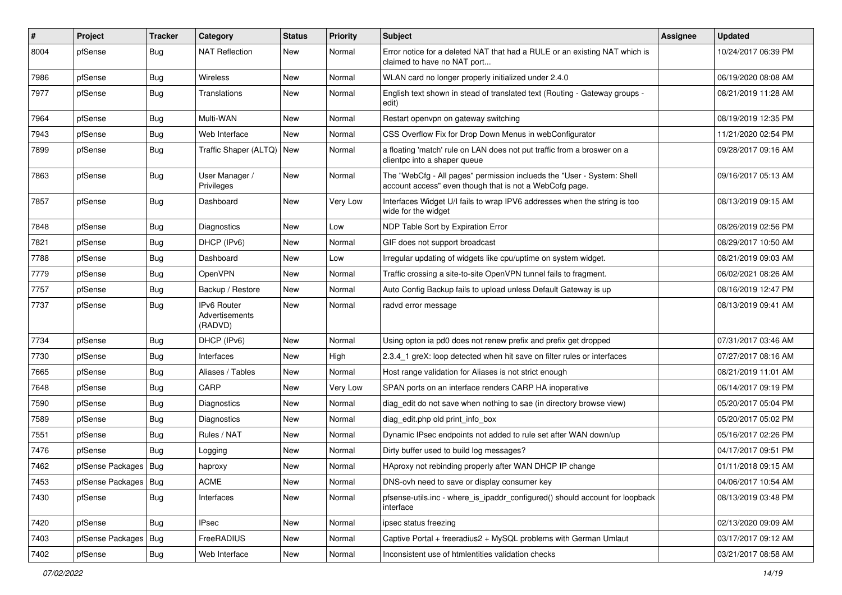| $\vert$ # | Project                | <b>Tracker</b> | Category                                        | <b>Status</b> | <b>Priority</b> | <b>Subject</b>                                                                                                                    | <b>Assignee</b> | <b>Updated</b>      |
|-----------|------------------------|----------------|-------------------------------------------------|---------------|-----------------|-----------------------------------------------------------------------------------------------------------------------------------|-----------------|---------------------|
| 8004      | pfSense                | <b>Bug</b>     | <b>NAT Reflection</b>                           | New           | Normal          | Error notice for a deleted NAT that had a RULE or an existing NAT which is<br>claimed to have no NAT port                         |                 | 10/24/2017 06:39 PM |
| 7986      | pfSense                | <b>Bug</b>     | Wireless                                        | New           | Normal          | WLAN card no longer properly initialized under 2.4.0                                                                              |                 | 06/19/2020 08:08 AM |
| 7977      | pfSense                | <b>Bug</b>     | Translations                                    | New           | Normal          | English text shown in stead of translated text (Routing - Gateway groups -<br>edit)                                               |                 | 08/21/2019 11:28 AM |
| 7964      | pfSense                | <b>Bug</b>     | Multi-WAN                                       | New           | Normal          | Restart openvpn on gateway switching                                                                                              |                 | 08/19/2019 12:35 PM |
| 7943      | pfSense                | Bug            | Web Interface                                   | New           | Normal          | CSS Overflow Fix for Drop Down Menus in webConfigurator                                                                           |                 | 11/21/2020 02:54 PM |
| 7899      | pfSense                | <b>Bug</b>     | Traffic Shaper (ALTQ)   New                     |               | Normal          | a floating 'match' rule on LAN does not put traffic from a broswer on a<br>clientpc into a shaper queue                           |                 | 09/28/2017 09:16 AM |
| 7863      | pfSense                | <b>Bug</b>     | User Manager /<br>Privileges                    | New           | Normal          | The "WebCfg - All pages" permission inclueds the "User - System: Shell<br>account access" even though that is not a WebCofg page. |                 | 09/16/2017 05:13 AM |
| 7857      | pfSense                | <b>Bug</b>     | Dashboard                                       | New           | Very Low        | Interfaces Widget U/I fails to wrap IPV6 addresses when the string is too<br>wide for the widget                                  |                 | 08/13/2019 09:15 AM |
| 7848      | pfSense                | <b>Bug</b>     | Diagnostics                                     | New           | Low             | NDP Table Sort by Expiration Error                                                                                                |                 | 08/26/2019 02:56 PM |
| 7821      | pfSense                | <b>Bug</b>     | DHCP (IPv6)                                     | New           | Normal          | GIF does not support broadcast                                                                                                    |                 | 08/29/2017 10:50 AM |
| 7788      | pfSense                | Bug            | Dashboard                                       | <b>New</b>    | Low             | Irregular updating of widgets like cpu/uptime on system widget.                                                                   |                 | 08/21/2019 09:03 AM |
| 7779      | pfSense                | <b>Bug</b>     | OpenVPN                                         | New           | Normal          | Traffic crossing a site-to-site OpenVPN tunnel fails to fragment.                                                                 |                 | 06/02/2021 08:26 AM |
| 7757      | pfSense                | <b>Bug</b>     | Backup / Restore                                | New           | Normal          | Auto Config Backup fails to upload unless Default Gateway is up                                                                   |                 | 08/16/2019 12:47 PM |
| 7737      | pfSense                | Bug            | <b>IPv6 Router</b><br>Advertisements<br>(RADVD) | New           | Normal          | radvd error message                                                                                                               |                 | 08/13/2019 09:41 AM |
| 7734      | pfSense                | <b>Bug</b>     | DHCP (IPv6)                                     | New           | Normal          | Using opton ia pd0 does not renew prefix and prefix get dropped                                                                   |                 | 07/31/2017 03:46 AM |
| 7730      | pfSense                | <b>Bug</b>     | Interfaces                                      | New           | High            | 2.3.4 1 greX: loop detected when hit save on filter rules or interfaces                                                           |                 | 07/27/2017 08:16 AM |
| 7665      | pfSense                | Bug            | Aliases / Tables                                | New           | Normal          | Host range validation for Aliases is not strict enough                                                                            |                 | 08/21/2019 11:01 AM |
| 7648      | pfSense                | <b>Bug</b>     | CARP                                            | New           | Very Low        | SPAN ports on an interface renders CARP HA inoperative                                                                            |                 | 06/14/2017 09:19 PM |
| 7590      | pfSense                | <b>Bug</b>     | Diagnostics                                     | New           | Normal          | diag edit do not save when nothing to sae (in directory browse view)                                                              |                 | 05/20/2017 05:04 PM |
| 7589      | pfSense                | Bug            | Diagnostics                                     | New           | Normal          | diag edit.php old print info box                                                                                                  |                 | 05/20/2017 05:02 PM |
| 7551      | pfSense                | Bug            | Rules / NAT                                     | New           | Normal          | Dynamic IPsec endpoints not added to rule set after WAN down/up                                                                   |                 | 05/16/2017 02:26 PM |
| 7476      | pfSense                | Bug            | Logging                                         | New           | Normal          | Dirty buffer used to build log messages?                                                                                          |                 | 04/17/2017 09:51 PM |
| 7462      | pfSense Packages   Bug |                | haproxy                                         | New           | Normal          | HAproxy not rebinding properly after WAN DHCP IP change                                                                           |                 | 01/11/2018 09:15 AM |
| 7453      | pfSense Packages   Bug |                | <b>ACME</b>                                     | New           | Normal          | DNS-ovh need to save or display consumer key                                                                                      |                 | 04/06/2017 10:54 AM |
| 7430      | pfSense                | <b>Bug</b>     | Interfaces                                      | New           | Normal          | pfsense-utils.inc - where_is_ipaddr_configured() should account for loopback<br>interface                                         |                 | 08/13/2019 03:48 PM |
| 7420      | pfSense                | <b>Bug</b>     | <b>IPsec</b>                                    | <b>New</b>    | Normal          | ipsec status freezing                                                                                                             |                 | 02/13/2020 09:09 AM |
| 7403      | pfSense Packages       | Bug            | FreeRADIUS                                      | New           | Normal          | Captive Portal + freeradius2 + MySQL problems with German Umlaut                                                                  |                 | 03/17/2017 09:12 AM |
| 7402      | pfSense                | Bug            | Web Interface                                   | New           | Normal          | Inconsistent use of htmlentities validation checks                                                                                |                 | 03/21/2017 08:58 AM |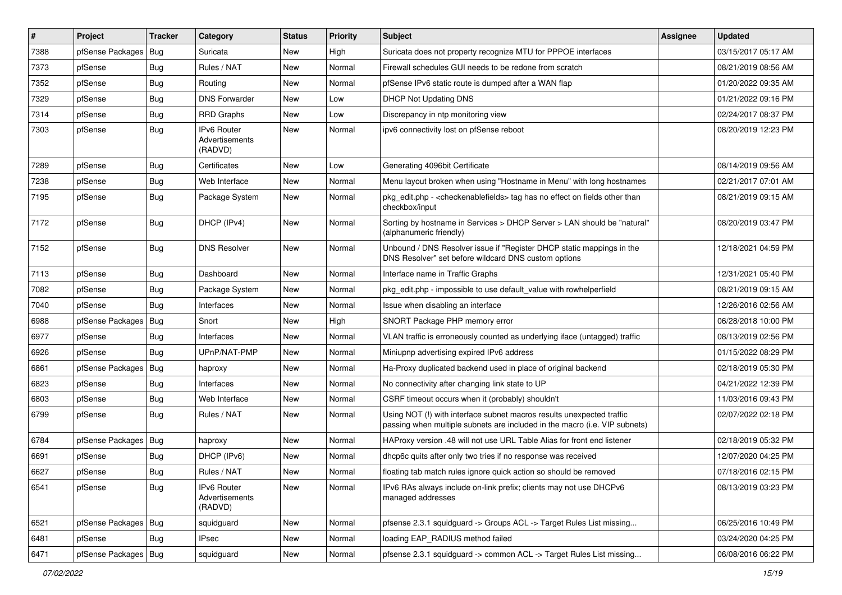| $\pmb{\#}$ | Project                | Tracker    | Category                                        | <b>Status</b> | <b>Priority</b> | Subject                                                                                                                                             | <b>Assignee</b> | <b>Updated</b>      |
|------------|------------------------|------------|-------------------------------------------------|---------------|-----------------|-----------------------------------------------------------------------------------------------------------------------------------------------------|-----------------|---------------------|
| 7388       | pfSense Packages       | Bug        | Suricata                                        | New           | High            | Suricata does not property recognize MTU for PPPOE interfaces                                                                                       |                 | 03/15/2017 05:17 AM |
| 7373       | pfSense                | Bug        | Rules / NAT                                     | <b>New</b>    | Normal          | Firewall schedules GUI needs to be redone from scratch                                                                                              |                 | 08/21/2019 08:56 AM |
| 7352       | pfSense                | <b>Bug</b> | Routing                                         | New           | Normal          | pfSense IPv6 static route is dumped after a WAN flap                                                                                                |                 | 01/20/2022 09:35 AM |
| 7329       | pfSense                | <b>Bug</b> | <b>DNS Forwarder</b>                            | <b>New</b>    | Low             | DHCP Not Updating DNS                                                                                                                               |                 | 01/21/2022 09:16 PM |
| 7314       | pfSense                | <b>Bug</b> | <b>RRD Graphs</b>                               | <b>New</b>    | Low             | Discrepancy in ntp monitoring view                                                                                                                  |                 | 02/24/2017 08:37 PM |
| 7303       | pfSense                | <b>Bug</b> | IPv6 Router<br><b>Advertisements</b><br>(RADVD) | <b>New</b>    | Normal          | ipv6 connectivity lost on pfSense reboot                                                                                                            |                 | 08/20/2019 12:23 PM |
| 7289       | pfSense                | <b>Bug</b> | Certificates                                    | <b>New</b>    | Low             | Generating 4096bit Certificate                                                                                                                      |                 | 08/14/2019 09:56 AM |
| 7238       | pfSense                | <b>Bug</b> | Web Interface                                   | New           | Normal          | Menu layout broken when using "Hostname in Menu" with long hostnames                                                                                |                 | 02/21/2017 07:01 AM |
| 7195       | pfSense                | <b>Bug</b> | Package System                                  | New           | Normal          | pkg_edit.php - <checkenablefields> tag has no effect on fields other than<br/>checkbox/input</checkenablefields>                                    |                 | 08/21/2019 09:15 AM |
| 7172       | pfSense                | <b>Bug</b> | DHCP (IPv4)                                     | <b>New</b>    | Normal          | Sorting by hostname in Services > DHCP Server > LAN should be "natural"<br>(alphanumeric friendly)                                                  |                 | 08/20/2019 03:47 PM |
| 7152       | pfSense                | <b>Bug</b> | <b>DNS Resolver</b>                             | <b>New</b>    | Normal          | Unbound / DNS Resolver issue if "Register DHCP static mappings in the<br>DNS Resolver" set before wildcard DNS custom options                       |                 | 12/18/2021 04:59 PM |
| 7113       | pfSense                | <b>Bug</b> | Dashboard                                       | <b>New</b>    | Normal          | Interface name in Traffic Graphs                                                                                                                    |                 | 12/31/2021 05:40 PM |
| 7082       | pfSense                | Bug        | Package System                                  | New           | Normal          | pkg edit.php - impossible to use default value with rowhelperfield                                                                                  |                 | 08/21/2019 09:15 AM |
| 7040       | pfSense                | Bug        | Interfaces                                      | <b>New</b>    | Normal          | Issue when disabling an interface                                                                                                                   |                 | 12/26/2016 02:56 AM |
| 6988       | pfSense Packages   Bug |            | Snort                                           | <b>New</b>    | High            | SNORT Package PHP memory error                                                                                                                      |                 | 06/28/2018 10:00 PM |
| 6977       | pfSense                | <b>Bug</b> | Interfaces                                      | New           | Normal          | VLAN traffic is erroneously counted as underlying iface (untagged) traffic                                                                          |                 | 08/13/2019 02:56 PM |
| 6926       | pfSense                | <b>Bug</b> | UPnP/NAT-PMP                                    | New           | Normal          | Miniupnp advertising expired IPv6 address                                                                                                           |                 | 01/15/2022 08:29 PM |
| 6861       | pfSense Packages   Bug |            | haproxy                                         | New           | Normal          | Ha-Proxy duplicated backend used in place of original backend                                                                                       |                 | 02/18/2019 05:30 PM |
| 6823       | pfSense                | <b>Bug</b> | Interfaces                                      | <b>New</b>    | Normal          | No connectivity after changing link state to UP                                                                                                     |                 | 04/21/2022 12:39 PM |
| 6803       | pfSense                | <b>Bug</b> | Web Interface                                   | New           | Normal          | CSRF timeout occurs when it (probably) shouldn't                                                                                                    |                 | 11/03/2016 09:43 PM |
| 6799       | pfSense                | <b>Bug</b> | Rules / NAT                                     | New           | Normal          | Using NOT (!) with interface subnet macros results unexpected traffic<br>passing when multiple subnets are included in the macro (i.e. VIP subnets) |                 | 02/07/2022 02:18 PM |
| 6784       | pfSense Packages   Bug |            | haproxy                                         | <b>New</b>    | Normal          | HAProxy version .48 will not use URL Table Alias for front end listener                                                                             |                 | 02/18/2019 05:32 PM |
| 6691       | pfSense                | <b>Bug</b> | DHCP (IPv6)                                     | New           | Normal          | dhcp6c quits after only two tries if no response was received                                                                                       |                 | 12/07/2020 04:25 PM |
| 6627       | pfSense                | Bug        | Rules / NAT                                     | New           | Normal          | floating tab match rules ignore quick action so should be removed                                                                                   |                 | 07/18/2016 02:15 PM |
| 6541       | pfSense                | <b>Bug</b> | IPv6 Router<br>Advertisements<br>(RADVD)        | New           | Normal          | IPv6 RAs always include on-link prefix; clients may not use DHCPv6<br>managed addresses                                                             |                 | 08/13/2019 03:23 PM |
| 6521       | pfSense Packages   Bug |            | squidguard                                      | New           | Normal          | pfsense 2.3.1 squidguard -> Groups ACL -> Target Rules List missing                                                                                 |                 | 06/25/2016 10:49 PM |
| 6481       | pfSense                | Bug        | <b>IPsec</b>                                    | New           | Normal          | loading EAP_RADIUS method failed                                                                                                                    |                 | 03/24/2020 04:25 PM |
| 6471       | pfSense Packages   Bug |            | squidguard                                      | New           | Normal          | pfsense 2.3.1 squidguard -> common ACL -> Target Rules List missing                                                                                 |                 | 06/08/2016 06:22 PM |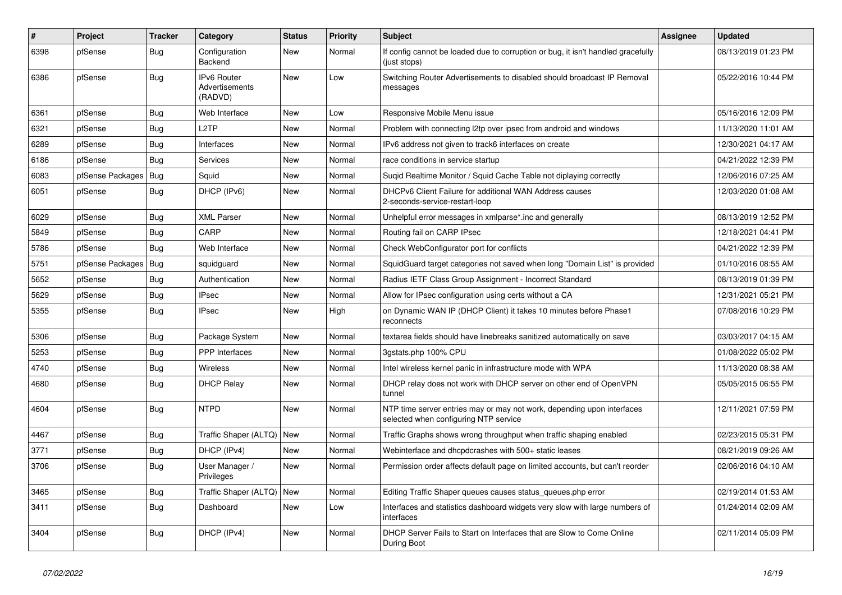| $\#$ | Project          | <b>Tracker</b> | Category                                        | <b>Status</b> | Priority | <b>Subject</b>                                                                                                  | <b>Assignee</b> | <b>Updated</b>      |
|------|------------------|----------------|-------------------------------------------------|---------------|----------|-----------------------------------------------------------------------------------------------------------------|-----------------|---------------------|
| 6398 | pfSense          | <b>Bug</b>     | Configuration<br>Backend                        | New           | Normal   | If config cannot be loaded due to corruption or bug, it isn't handled gracefully<br>(just stops)                |                 | 08/13/2019 01:23 PM |
| 6386 | pfSense          | Bug            | <b>IPv6 Router</b><br>Advertisements<br>(RADVD) | <b>New</b>    | Low      | Switching Router Advertisements to disabled should broadcast IP Removal<br>messages                             |                 | 05/22/2016 10:44 PM |
| 6361 | pfSense          | Bug            | Web Interface                                   | New           | Low      | Responsive Mobile Menu issue                                                                                    |                 | 05/16/2016 12:09 PM |
| 6321 | pfSense          | <b>Bug</b>     | L2TP                                            | New           | Normal   | Problem with connecting I2tp over ipsec from android and windows                                                |                 | 11/13/2020 11:01 AM |
| 6289 | pfSense          | Bug            | Interfaces                                      | New           | Normal   | IPv6 address not given to track6 interfaces on create                                                           |                 | 12/30/2021 04:17 AM |
| 6186 | pfSense          | Bug            | Services                                        | New           | Normal   | race conditions in service startup                                                                              |                 | 04/21/2022 12:39 PM |
| 6083 | pfSense Packages | Bug            | Squid                                           | New           | Normal   | Sugid Realtime Monitor / Squid Cache Table not diplaying correctly                                              |                 | 12/06/2016 07:25 AM |
| 6051 | pfSense          | Bug            | DHCP (IPv6)                                     | New           | Normal   | DHCPv6 Client Failure for additional WAN Address causes<br>2-seconds-service-restart-loop                       |                 | 12/03/2020 01:08 AM |
| 6029 | pfSense          | <b>Bug</b>     | <b>XML Parser</b>                               | New           | Normal   | Unhelpful error messages in xmlparse*.inc and generally                                                         |                 | 08/13/2019 12:52 PM |
| 5849 | pfSense          | <b>Bug</b>     | CARP                                            | New           | Normal   | Routing fail on CARP IPsec                                                                                      |                 | 12/18/2021 04:41 PM |
| 5786 | pfSense          | <b>Bug</b>     | Web Interface                                   | New           | Normal   | Check WebConfigurator port for conflicts                                                                        |                 | 04/21/2022 12:39 PM |
| 5751 | pfSense Packages | Bug            | squidguard                                      | <b>New</b>    | Normal   | SquidGuard target categories not saved when long "Domain List" is provided                                      |                 | 01/10/2016 08:55 AM |
| 5652 | pfSense          | Bug            | Authentication                                  | <b>New</b>    | Normal   | Radius IETF Class Group Assignment - Incorrect Standard                                                         |                 | 08/13/2019 01:39 PM |
| 5629 | pfSense          | <b>Bug</b>     | <b>IPsec</b>                                    | New           | Normal   | Allow for IPsec configuration using certs without a CA                                                          |                 | 12/31/2021 05:21 PM |
| 5355 | pfSense          | <b>Bug</b>     | <b>IPsec</b>                                    | <b>New</b>    | High     | on Dynamic WAN IP (DHCP Client) it takes 10 minutes before Phase1<br>reconnects                                 |                 | 07/08/2016 10:29 PM |
| 5306 | pfSense          | <b>Bug</b>     | Package System                                  | New           | Normal   | textarea fields should have linebreaks sanitized automatically on save                                          |                 | 03/03/2017 04:15 AM |
| 5253 | pfSense          | Bug            | <b>PPP</b> Interfaces                           | New           | Normal   | 3gstats.php 100% CPU                                                                                            |                 | 01/08/2022 05:02 PM |
| 4740 | pfSense          | <b>Bug</b>     | <b>Wireless</b>                                 | New           | Normal   | Intel wireless kernel panic in infrastructure mode with WPA                                                     |                 | 11/13/2020 08:38 AM |
| 4680 | pfSense          | <b>Bug</b>     | <b>DHCP Relay</b>                               | New           | Normal   | DHCP relay does not work with DHCP server on other end of OpenVPN<br>tunnel                                     |                 | 05/05/2015 06:55 PM |
| 4604 | pfSense          | <b>Bug</b>     | <b>NTPD</b>                                     | <b>New</b>    | Normal   | NTP time server entries may or may not work, depending upon interfaces<br>selected when configuring NTP service |                 | 12/11/2021 07:59 PM |
| 4467 | pfSense          | Bug            | Traffic Shaper (ALTQ)   New                     |               | Normal   | Traffic Graphs shows wrong throughput when traffic shaping enabled                                              |                 | 02/23/2015 05:31 PM |
| 3771 | pfSense          | Bug            | DHCP (IPv4)                                     | New           | Normal   | Webinterface and dhcpdcrashes with 500+ static leases                                                           |                 | 08/21/2019 09:26 AM |
| 3706 | pfSense          | Bug            | User Manager /<br>Privileges                    | New           | Normal   | Permission order affects default page on limited accounts, but can't reorder                                    |                 | 02/06/2016 04:10 AM |
| 3465 | pfSense          | <b>Bug</b>     | Traffic Shaper (ALTQ)                           | New           | Normal   | Editing Traffic Shaper queues causes status_queues.php error                                                    |                 | 02/19/2014 01:53 AM |
| 3411 | pfSense          | Bug            | Dashboard                                       | New           | Low      | Interfaces and statistics dashboard widgets very slow with large numbers of<br>interfaces                       |                 | 01/24/2014 02:09 AM |
| 3404 | pfSense          | <b>Bug</b>     | DHCP (IPv4)                                     | New           | Normal   | DHCP Server Fails to Start on Interfaces that are Slow to Come Online<br>During Boot                            |                 | 02/11/2014 05:09 PM |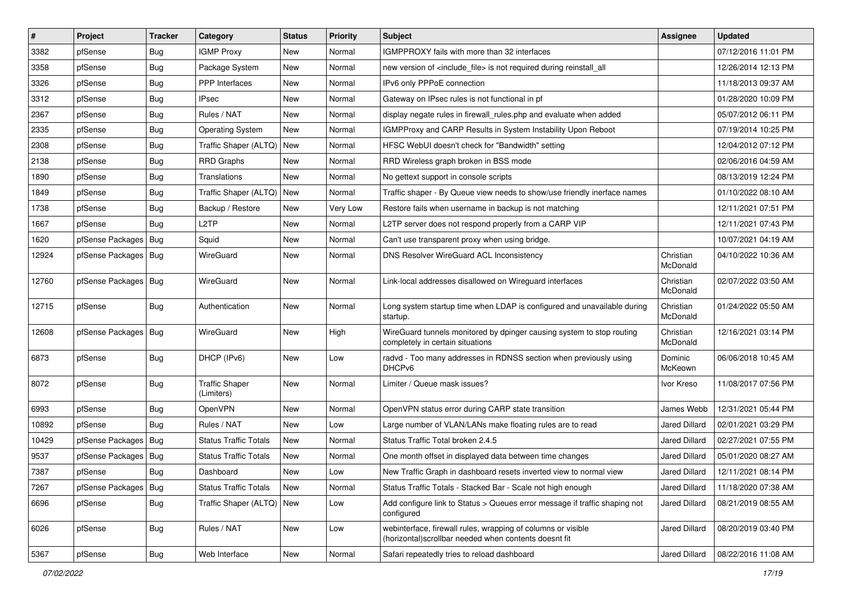| #     | Project                | <b>Tracker</b> | Category                            | <b>Status</b> | <b>Priority</b> | <b>Subject</b>                                                                                                         | <b>Assignee</b>       | <b>Updated</b>      |
|-------|------------------------|----------------|-------------------------------------|---------------|-----------------|------------------------------------------------------------------------------------------------------------------------|-----------------------|---------------------|
| 3382  | pfSense                | <b>Bug</b>     | <b>IGMP Proxy</b>                   | New           | Normal          | IGMPPROXY fails with more than 32 interfaces                                                                           |                       | 07/12/2016 11:01 PM |
| 3358  | pfSense                | Bug            | Package System                      | New           | Normal          | new version of <include_file> is not required during reinstall_all</include_file>                                      |                       | 12/26/2014 12:13 PM |
| 3326  | pfSense                | <b>Bug</b>     | <b>PPP</b> Interfaces               | New           | Normal          | IPv6 only PPPoE connection                                                                                             |                       | 11/18/2013 09:37 AM |
| 3312  | pfSense                | <b>Bug</b>     | IPsec                               | New           | Normal          | Gateway on IPsec rules is not functional in pf                                                                         |                       | 01/28/2020 10:09 PM |
| 2367  | pfSense                | <b>Bug</b>     | Rules / NAT                         | New           | Normal          | display negate rules in firewall_rules.php and evaluate when added                                                     |                       | 05/07/2012 06:11 PM |
| 2335  | pfSense                | Bug            | <b>Operating System</b>             | New           | Normal          | <b>IGMPProxy and CARP Results in System Instability Upon Reboot</b>                                                    |                       | 07/19/2014 10:25 PM |
| 2308  | pfSense                | Bug            | Traffic Shaper (ALTQ)               | New           | Normal          | HFSC WebUI doesn't check for "Bandwidth" setting                                                                       |                       | 12/04/2012 07:12 PM |
| 2138  | pfSense                | <b>Bug</b>     | <b>RRD Graphs</b>                   | New           | Normal          | RRD Wireless graph broken in BSS mode                                                                                  |                       | 02/06/2016 04:59 AM |
| 1890  | pfSense                | <b>Bug</b>     | Translations                        | New           | Normal          | No gettext support in console scripts                                                                                  |                       | 08/13/2019 12:24 PM |
| 1849  | pfSense                | <b>Bug</b>     | Traffic Shaper (ALTQ)               | New           | Normal          | Traffic shaper - By Queue view needs to show/use friendly inerface names                                               |                       | 01/10/2022 08:10 AM |
| 1738  | pfSense                | <b>Bug</b>     | Backup / Restore                    | New           | Very Low        | Restore fails when username in backup is not matching                                                                  |                       | 12/11/2021 07:51 PM |
| 1667  | pfSense                | Bug            | L <sub>2</sub> TP                   | New           | Normal          | L2TP server does not respond properly from a CARP VIP                                                                  |                       | 12/11/2021 07:43 PM |
| 1620  | pfSense Packages   Bug |                | Squid                               | New           | Normal          | Can't use transparent proxy when using bridge.                                                                         |                       | 10/07/2021 04:19 AM |
| 12924 | pfSense Packages   Bug |                | WireGuard                           | New           | Normal          | <b>DNS Resolver WireGuard ACL Inconsistency</b>                                                                        | Christian<br>McDonald | 04/10/2022 10:36 AM |
| 12760 | pfSense Packages   Bug |                | WireGuard                           | New           | Normal          | Link-local addresses disallowed on Wirequard interfaces                                                                | Christian<br>McDonald | 02/07/2022 03:50 AM |
| 12715 | pfSense                | Bug            | Authentication                      | New           | Normal          | Long system startup time when LDAP is configured and unavailable during<br>startup.                                    | Christian<br>McDonald | 01/24/2022 05:50 AM |
| 12608 | pfSense Packages   Bug |                | WireGuard                           | New           | High            | WireGuard tunnels monitored by dpinger causing system to stop routing<br>completely in certain situations              | Christian<br>McDonald | 12/16/2021 03:14 PM |
| 6873  | pfSense                | <b>Bug</b>     | DHCP (IPv6)                         | New           | Low             | radvd - Too many addresses in RDNSS section when previously using<br>DHCP <sub>v6</sub>                                | Dominic<br>McKeown    | 06/06/2018 10:45 AM |
| 8072  | pfSense                | Bug            | <b>Traffic Shaper</b><br>(Limiters) | New           | Normal          | Limiter / Queue mask issues?                                                                                           | Ivor Kreso            | 11/08/2017 07:56 PM |
| 6993  | pfSense                | Bug            | OpenVPN                             | New           | Normal          | OpenVPN status error during CARP state transition                                                                      | James Webb            | 12/31/2021 05:44 PM |
| 10892 | pfSense                | Bug            | Rules / NAT                         | New           | Low             | Large number of VLAN/LANs make floating rules are to read                                                              | <b>Jared Dillard</b>  | 02/01/2021 03:29 PM |
| 10429 | pfSense Packages   Bug |                | <b>Status Traffic Totals</b>        | New           | Normal          | Status Traffic Total broken 2.4.5                                                                                      | <b>Jared Dillard</b>  | 02/27/2021 07:55 PM |
| 9537  | pfSense Packages       | Bug            | <b>Status Traffic Totals</b>        | New           | Normal          | One month offset in displayed data between time changes                                                                | <b>Jared Dillard</b>  | 05/01/2020 08:27 AM |
| 7387  | pfSense                | Bug            | Dashboard                           | New           | Low             | New Traffic Graph in dashboard resets inverted view to normal view                                                     | Jared Dillard         | 12/11/2021 08:14 PM |
| 7267  | pfSense Packages   Bug |                | <b>Status Traffic Totals</b>        | New           | Normal          | Status Traffic Totals - Stacked Bar - Scale not high enough                                                            | Jared Dillard         | 11/18/2020 07:38 AM |
| 6696  | pfSense                | <b>Bug</b>     | Traffic Shaper (ALTQ)   New         |               | Low             | Add configure link to Status > Queues error message if traffic shaping not<br>configured                               | Jared Dillard         | 08/21/2019 08:55 AM |
| 6026  | pfSense                | <b>Bug</b>     | Rules / NAT                         | New           | Low             | webinterface, firewall rules, wrapping of columns or visible<br>(horizontal) scrollbar needed when contents doesnt fit | Jared Dillard         | 08/20/2019 03:40 PM |
| 5367  | pfSense                | Bug            | Web Interface                       | New           | Normal          | Safari repeatedly tries to reload dashboard                                                                            | Jared Dillard         | 08/22/2016 11:08 AM |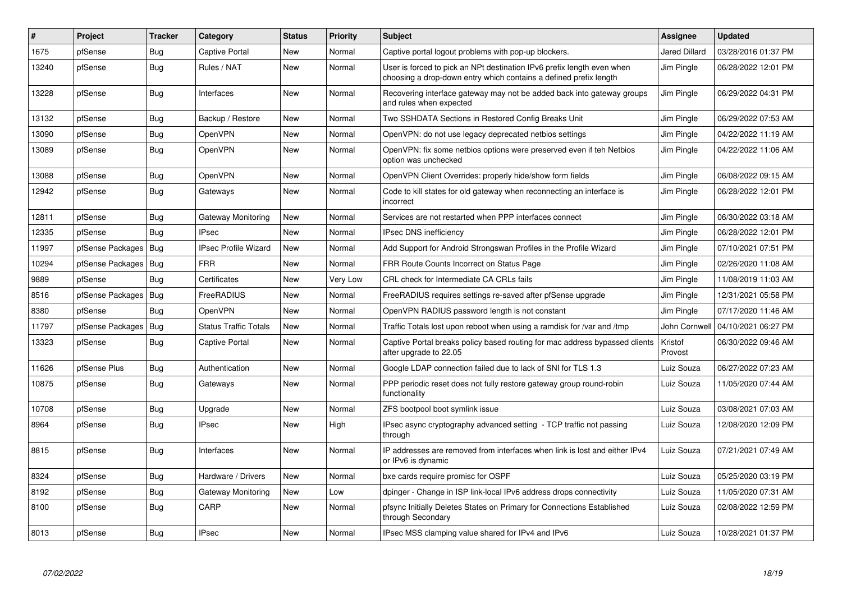| $\#$  | Project          | <b>Tracker</b> | Category                     | <b>Status</b> | <b>Priority</b> | <b>Subject</b>                                                                                                                              | Assignee             | <b>Updated</b>      |
|-------|------------------|----------------|------------------------------|---------------|-----------------|---------------------------------------------------------------------------------------------------------------------------------------------|----------------------|---------------------|
| 1675  | pfSense          | Bug            | Captive Portal               | <b>New</b>    | Normal          | Captive portal logout problems with pop-up blockers.                                                                                        | <b>Jared Dillard</b> | 03/28/2016 01:37 PM |
| 13240 | pfSense          | <b>Bug</b>     | Rules / NAT                  | New           | Normal          | User is forced to pick an NPt destination IPv6 prefix length even when<br>choosing a drop-down entry which contains a defined prefix length | Jim Pingle           | 06/28/2022 12:01 PM |
| 13228 | pfSense          | <b>Bug</b>     | Interfaces                   | New           | Normal          | Recovering interface gateway may not be added back into gateway groups<br>and rules when expected                                           | Jim Pingle           | 06/29/2022 04:31 PM |
| 13132 | pfSense          | <b>Bug</b>     | Backup / Restore             | <b>New</b>    | Normal          | Two SSHDATA Sections in Restored Config Breaks Unit                                                                                         | Jim Pingle           | 06/29/2022 07:53 AM |
| 13090 | pfSense          | <b>Bug</b>     | <b>OpenVPN</b>               | <b>New</b>    | Normal          | OpenVPN: do not use legacy deprecated netbios settings                                                                                      | Jim Pingle           | 04/22/2022 11:19 AM |
| 13089 | pfSense          | Bug            | OpenVPN                      | <b>New</b>    | Normal          | OpenVPN: fix some netbios options were preserved even if teh Netbios<br>option was unchecked                                                | Jim Pingle           | 04/22/2022 11:06 AM |
| 13088 | pfSense          | Bug            | OpenVPN                      | <b>New</b>    | Normal          | OpenVPN Client Overrides: properly hide/show form fields                                                                                    | Jim Pingle           | 06/08/2022 09:15 AM |
| 12942 | pfSense          | Bug            | Gateways                     | <b>New</b>    | Normal          | Code to kill states for old gateway when reconnecting an interface is<br>incorrect                                                          | Jim Pingle           | 06/28/2022 12:01 PM |
| 12811 | pfSense          | <b>Bug</b>     | Gateway Monitoring           | <b>New</b>    | Normal          | Services are not restarted when PPP interfaces connect                                                                                      | Jim Pingle           | 06/30/2022 03:18 AM |
| 12335 | pfSense          | <b>Bug</b>     | <b>IPsec</b>                 | <b>New</b>    | Normal          | IPsec DNS inefficiency                                                                                                                      | Jim Pingle           | 06/28/2022 12:01 PM |
| 11997 | pfSense Packages | Bug            | <b>IPsec Profile Wizard</b>  | New           | Normal          | Add Support for Android Strongswan Profiles in the Profile Wizard                                                                           | Jim Pingle           | 07/10/2021 07:51 PM |
| 10294 | pfSense Packages | Bug            | <b>FRR</b>                   | New           | Normal          | FRR Route Counts Incorrect on Status Page                                                                                                   | Jim Pingle           | 02/26/2020 11:08 AM |
| 9889  | pfSense          | Bug            | Certificates                 | New           | Very Low        | CRL check for Intermediate CA CRLs fails                                                                                                    | Jim Pingle           | 11/08/2019 11:03 AM |
| 8516  | pfSense Packages | Bug            | FreeRADIUS                   | New           | Normal          | FreeRADIUS requires settings re-saved after pfSense upgrade                                                                                 | Jim Pingle           | 12/31/2021 05:58 PM |
| 8380  | pfSense          | Bug            | <b>OpenVPN</b>               | <b>New</b>    | Normal          | OpenVPN RADIUS password length is not constant                                                                                              | Jim Pingle           | 07/17/2020 11:46 AM |
| 11797 | pfSense Packages | Bug            | <b>Status Traffic Totals</b> | New           | Normal          | Traffic Totals lost upon reboot when using a ramdisk for /var and /tmp                                                                      | John Cornwell        | 04/10/2021 06:27 PM |
| 13323 | pfSense          | <b>Bug</b>     | Captive Portal               | <b>New</b>    | Normal          | Captive Portal breaks policy based routing for mac address bypassed clients<br>after upgrade to 22.05                                       | Kristof<br>Provost   | 06/30/2022 09:46 AM |
| 11626 | pfSense Plus     | Bug            | Authentication               | <b>New</b>    | Normal          | Google LDAP connection failed due to lack of SNI for TLS 1.3                                                                                | Luiz Souza           | 06/27/2022 07:23 AM |
| 10875 | pfSense          | <b>Bug</b>     | Gateways                     | <b>New</b>    | Normal          | PPP periodic reset does not fully restore gateway group round-robin<br>functionality                                                        | Luiz Souza           | 11/05/2020 07:44 AM |
| 10708 | pfSense          | <b>Bug</b>     | Upgrade                      | <b>New</b>    | Normal          | ZFS bootpool boot symlink issue                                                                                                             | Luiz Souza           | 03/08/2021 07:03 AM |
| 8964  | pfSense          | <b>Bug</b>     | <b>IPsec</b>                 | <b>New</b>    | High            | IPsec async cryptography advanced setting - TCP traffic not passing<br>through                                                              | Luiz Souza           | 12/08/2020 12:09 PM |
| 8815  | pfSense          | <b>Bug</b>     | Interfaces                   | <b>New</b>    | Normal          | IP addresses are removed from interfaces when link is lost and either IPv4<br>or IPv6 is dynamic                                            | Luiz Souza           | 07/21/2021 07:49 AM |
| 8324  | pfSense          | Bug            | Hardware / Drivers           | <b>New</b>    | Normal          | bxe cards require promisc for OSPF                                                                                                          | Luiz Souza           | 05/25/2020 03:19 PM |
| 8192  | pfSense          | <b>Bug</b>     | Gateway Monitoring           | <b>New</b>    | Low             | dpinger - Change in ISP link-local IPv6 address drops connectivity                                                                          | Luiz Souza           | 11/05/2020 07:31 AM |
| 8100  | pfSense          | <b>Bug</b>     | CARP                         | <b>New</b>    | Normal          | pfsync Initially Deletes States on Primary for Connections Established<br>through Secondary                                                 | Luiz Souza           | 02/08/2022 12:59 PM |
| 8013  | pfSense          | Bug            | <b>IPsec</b>                 | <b>New</b>    | Normal          | IPsec MSS clamping value shared for IPv4 and IPv6                                                                                           | Luiz Souza           | 10/28/2021 01:37 PM |